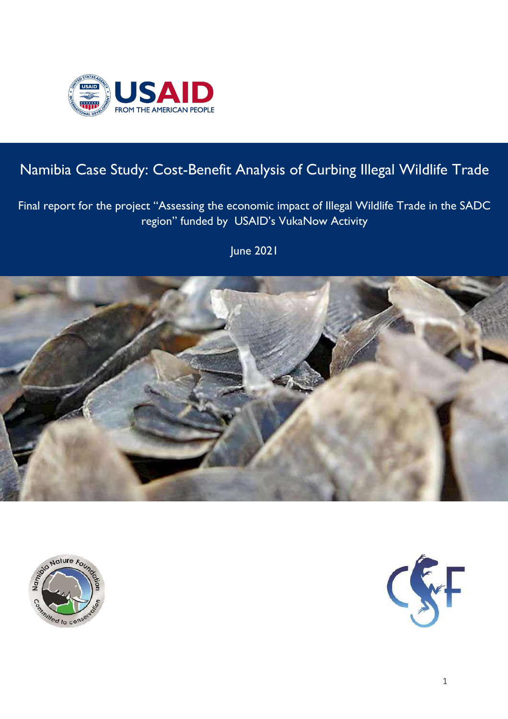

# Namibia Case Study: Cost-Benefit Analysis of Curbing Illegal Wildlife Trade

## Final report for the project "Assessing the economic impact of Illegal Wildlife Trade in the SADC region" funded by USAID's VukaNow Activity

June 2021





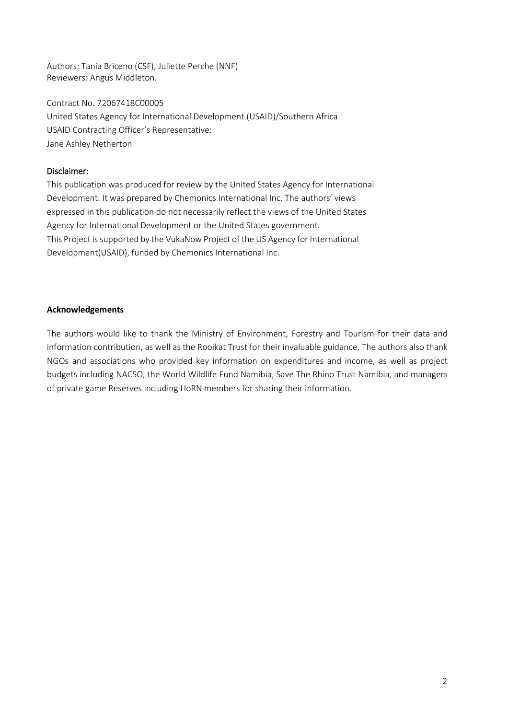Authors: Tania Briceno (CSF), Juliette Perche (NNF) Reviewers: Angus Middleton.

Contract No. 72067418C00005 United States Agency for International Development (USAID)/Southern Africa USAID Contracting Officer's Representative: Jane Ashley Netherton

#### Disclaimer:

This publication was produced for review by the United States Agency for International Development. It was prepared by Chemonics International Inc. The authors' views expressed in this publication do not necessarily reflect the views of the United States Agency for International Development or the United States government. This Project is supported by the VukaNow Project of the US Agency for International Development(USAID), funded by Chemonics International Inc.

#### **Acknowledgements**

The authors would like to thank the Ministry of Environment, Forestry and Tourism for their data and information contribution, as well as the Rooikat Trust for their invaluable guidance. The authors also thank NGOs and associations who provided key information on expenditures and income, as well as project budgets including NACSO, the World Wildlife Fund Namibia, Save The Rhino Trust Namibia, and managers of private game Reserves including HoRN members for sharing their information.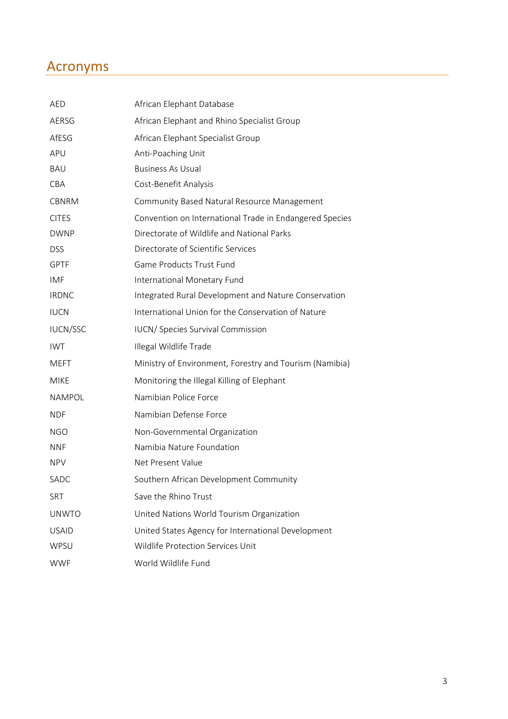## Acronyms

| AED             | African Elephant Database                               |
|-----------------|---------------------------------------------------------|
| AERSG           | African Elephant and Rhino Specialist Group             |
| AfESG           | African Elephant Specialist Group                       |
| APU             | Anti-Poaching Unit                                      |
| <b>BAU</b>      | <b>Business As Usual</b>                                |
| <b>CBA</b>      | Cost-Benefit Analysis                                   |
| <b>CBNRM</b>    | Community Based Natural Resource Management             |
| <b>CITES</b>    | Convention on International Trade in Endangered Species |
| <b>DWNP</b>     | Directorate of Wildlife and National Parks              |
| <b>DSS</b>      | Directorate of Scientific Services                      |
| <b>GPTF</b>     | Game Products Trust Fund                                |
| IMF             | International Monetary Fund                             |
| <b>IRDNC</b>    | Integrated Rural Development and Nature Conservation    |
| <b>IUCN</b>     | International Union for the Conservation of Nature      |
| <b>IUCN/SSC</b> | IUCN/ Species Survival Commission                       |
| <b>IWT</b>      | Illegal Wildlife Trade                                  |
| <b>MEFT</b>     | Ministry of Environment, Forestry and Tourism (Namibia) |
| <b>MIKE</b>     | Monitoring the Illegal Killing of Elephant              |
| <b>NAMPOL</b>   | Namibian Police Force                                   |
| <b>NDF</b>      | Namibian Defense Force                                  |
| <b>NGO</b>      | Non-Governmental Organization                           |
| <b>NNF</b>      | Namibia Nature Foundation                               |
| <b>NPV</b>      | Net Present Value                                       |
| SADC            | Southern African Development Community                  |
| <b>SRT</b>      | Save the Rhino Trust                                    |
| <b>UNWTO</b>    | United Nations World Tourism Organization               |
| <b>USAID</b>    | United States Agency for International Development      |
| WPSU            | Wildlife Protection Services Unit                       |
| <b>WWF</b>      | World Wildlife Fund                                     |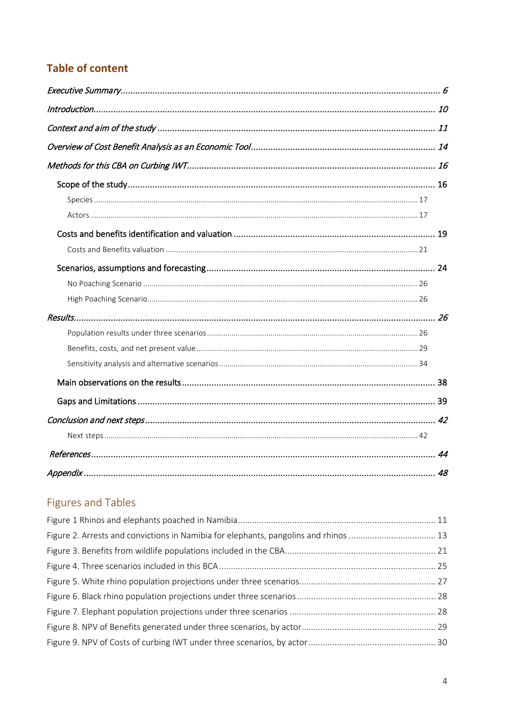## **Table of content**

## **Figures and Tables**

| Figure 2. Arrests and convictions in Namibia for elephants, pangolins and rhinos  13 |  |
|--------------------------------------------------------------------------------------|--|
|                                                                                      |  |
|                                                                                      |  |
|                                                                                      |  |
|                                                                                      |  |
|                                                                                      |  |
|                                                                                      |  |
|                                                                                      |  |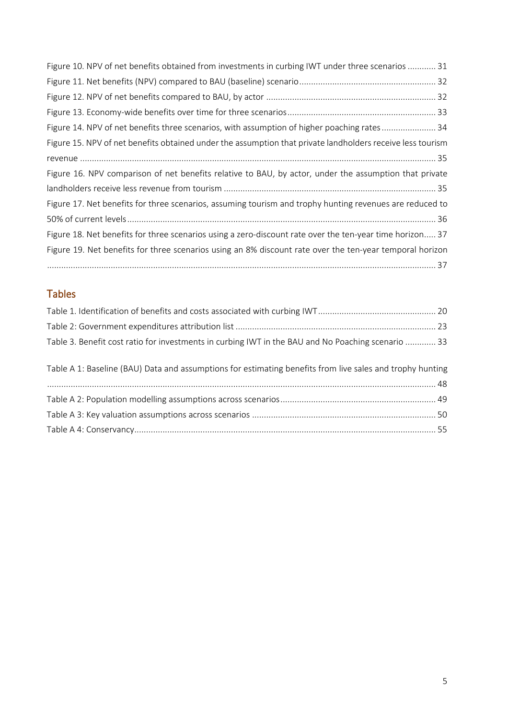| Figure 10. NPV of net benefits obtained from investments in curbing IWT under three scenarios  31          |
|------------------------------------------------------------------------------------------------------------|
|                                                                                                            |
|                                                                                                            |
|                                                                                                            |
| Figure 14. NPV of net benefits three scenarios, with assumption of higher poaching rates 34                |
| Figure 15. NPV of net benefits obtained under the assumption that private landholders receive less tourism |
|                                                                                                            |
| Figure 16. NPV comparison of net benefits relative to BAU, by actor, under the assumption that private     |
|                                                                                                            |
| Figure 17. Net benefits for three scenarios, assuming tourism and trophy hunting revenues are reduced to   |
|                                                                                                            |
| Figure 18. Net benefits for three scenarios using a zero-discount rate over the ten-year time horizon 37   |
| Figure 19. Net benefits for three scenarios using an 8% discount rate over the ten-year temporal horizon   |
|                                                                                                            |

## Tables

| Table 3. Benefit cost ratio for investments in curbing IWT in the BAU and No Poaching scenario  33        |  |
|-----------------------------------------------------------------------------------------------------------|--|
| Table A 1: Baseline (BAU) Data and assumptions for estimating benefits from live sales and trophy hunting |  |
|                                                                                                           |  |
|                                                                                                           |  |
|                                                                                                           |  |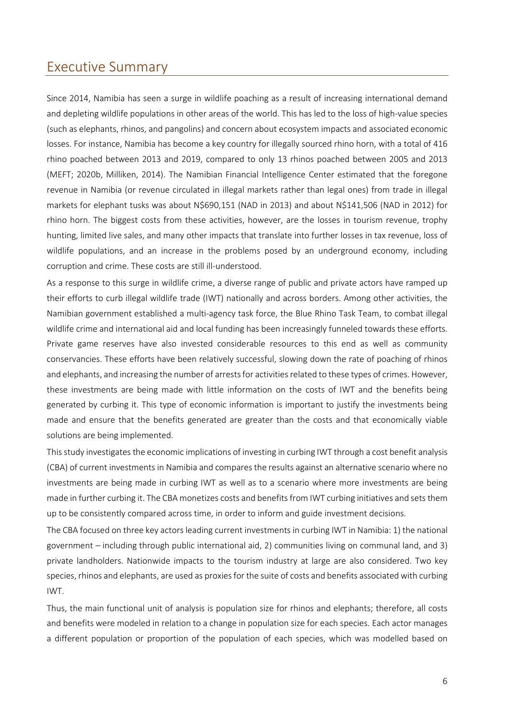## <span id="page-5-0"></span>Executive Summary

Since 2014, Namibia has seen a surge in wildlife poaching as a result of increasing international demand and depleting wildlife populations in other areas of the world. This has led to the loss of high-value species (such as elephants, rhinos, and pangolins) and concern about ecosystem impacts and associated economic losses. For instance, Namibia has become a key country for illegally sourced rhino horn, with a total of 416 rhino poached between 2013 and 2019, compared to only 13 rhinos poached between 2005 and 2013 (MEFT; 2020b, Milliken, 2014). The Namibian Financial Intelligence Center estimated that the foregone revenue in Namibia (or revenue circulated in illegal markets rather than legal ones) from trade in illegal markets for elephant tusks was about N\$690,151 (NAD in 2013) and about N\$141,506 (NAD in 2012) for rhino horn. The biggest costs from these activities, however, are the losses in tourism revenue, trophy hunting, limited live sales, and many other impacts that translate into further losses in tax revenue, loss of wildlife populations, and an increase in the problems posed by an underground economy, including corruption and crime. These costs are still ill-understood.

As a response to this surge in wildlife crime, a diverse range of public and private actors have ramped up their efforts to curb illegal wildlife trade (IWT) nationally and across borders. Among other activities, the Namibian government established a multi-agency task force, the Blue Rhino Task Team, to combat illegal wildlife crime and international aid and local funding has been increasingly funneled towards these efforts. Private game reserves have also invested considerable resources to this end as well as community conservancies. These efforts have been relatively successful, slowing down the rate of poaching of rhinos and elephants, and increasing the number of arrests for activities related to these types of crimes. However, these investments are being made with little information on the costs of IWT and the benefits being generated by curbing it. This type of economic information is important to justify the investments being made and ensure that the benefits generated are greater than the costs and that economically viable solutions are being implemented.

This study investigates the economic implications of investing in curbing IWT through a cost benefit analysis (CBA) of current investments in Namibia and compares the results against an alternative scenario where no investments are being made in curbing IWT as well as to a scenario where more investments are being made in further curbing it. The CBA monetizes costs and benefits from IWT curbing initiatives and sets them up to be consistently compared across time, in order to inform and guide investment decisions.

The CBA focused on three key actors leading current investments in curbing IWT in Namibia: 1) the national government – including through public international aid, 2) communities living on communal land, and 3) private landholders. Nationwide impacts to the tourism industry at large are also considered. Two key species, rhinos and elephants, are used as proxies for the suite of costs and benefits associated with curbing IWT.

Thus, the main functional unit of analysis is population size for rhinos and elephants; therefore, all costs and benefits were modeled in relation to a change in population size for each species. Each actor manages a different population or proportion of the population of each species, which was modelled based on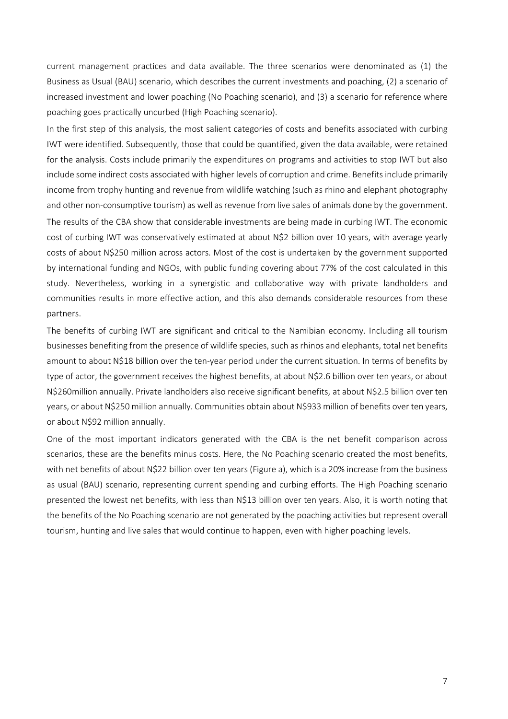current management practices and data available. The three scenarios were denominated as (1) the Business as Usual (BAU) scenario, which describes the current investments and poaching, (2) a scenario of increased investment and lower poaching (No Poaching scenario), and (3) a scenario for reference where poaching goes practically uncurbed (High Poaching scenario).

In the first step of this analysis, the most salient categories of costs and benefits associated with curbing IWT were identified. Subsequently, those that could be quantified, given the data available, were retained for the analysis. Costs include primarily the expenditures on programs and activities to stop IWT but also include some indirect costs associated with higher levels of corruption and crime. Benefits include primarily income from trophy hunting and revenue from wildlife watching (such as rhino and elephant photography and other non-consumptive tourism) as well as revenue from live sales of animals done by the government.

The results of the CBA show that considerable investments are being made in curbing IWT. The economic cost of curbing IWT was conservatively estimated at about N\$2 billion over 10 years, with average yearly costs of about N\$250 million across actors. Most of the cost is undertaken by the government supported by international funding and NGOs, with public funding covering about 77% of the cost calculated in this study. Nevertheless, working in a synergistic and collaborative way with private landholders and communities results in more effective action, and this also demands considerable resources from these partners.

The benefits of curbing IWT are significant and critical to the Namibian economy. Including all tourism businesses benefiting from the presence of wildlife species, such as rhinos and elephants, total net benefits amount to about N\$18 billion over the ten-year period under the current situation. In terms of benefits by type of actor, the government receives the highest benefits, at about N\$2.6 billion over ten years, or about N\$260million annually. Private landholders also receive significant benefits, at about N\$2.5 billion over ten years, or about N\$250 million annually. Communities obtain about N\$933 million of benefits over ten years, or about N\$92 million annually.

One of the most important indicators generated with the CBA is the net benefit comparison across scenarios, these are the benefits minus costs. Here, the No Poaching scenario created the most benefits, with net benefits of about N\$22 billion over ten years (Figure a), which is a 20% increase from the business as usual (BAU) scenario, representing current spending and curbing efforts. The High Poaching scenario presented the lowest net benefits, with less than N\$13 billion over ten years. Also, it is worth noting that the benefits of the No Poaching scenario are not generated by the poaching activities but represent overall tourism, hunting and live sales that would continue to happen, even with higher poaching levels.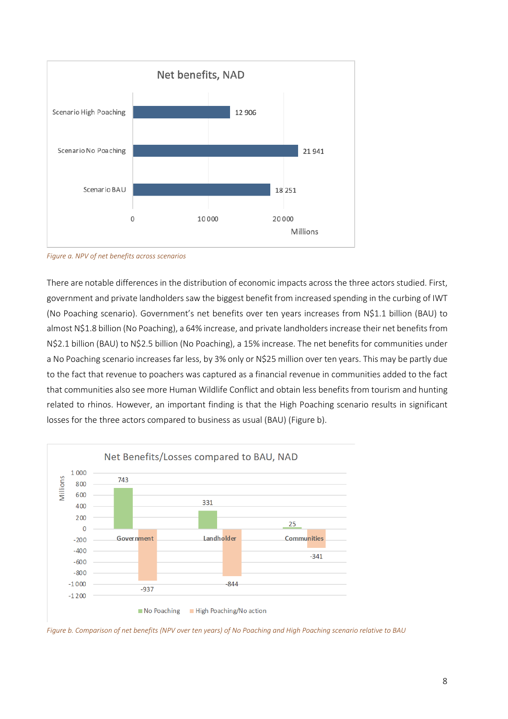

*Figure a. NPV of net benefits across scenarios*

There are notable differences in the distribution of economic impacts across the three actors studied. First, government and private landholders saw the biggest benefit from increased spending in the curbing of IWT (No Poaching scenario). Government's net benefits over ten years increases from N\$1.1 billion (BAU) to almost N\$1.8 billion (No Poaching), a 64% increase, and private landholders increase their net benefits from N\$2.1 billion (BAU) to N\$2.5 billion (No Poaching), a 15% increase. The net benefits for communities under a No Poaching scenario increases far less, by 3% only or N\$25 million over ten years. This may be partly due to the fact that revenue to poachers was captured as a financial revenue in communities added to the fact that communities also see more Human Wildlife Conflict and obtain less benefits from tourism and hunting related to rhinos. However, an important finding is that the High Poaching scenario results in significant losses for the three actors compared to business as usual (BAU) (Figure b).



*Figure b. Comparison of net benefits (NPV over ten years) of No Poaching and High Poaching scenario relative to BAU*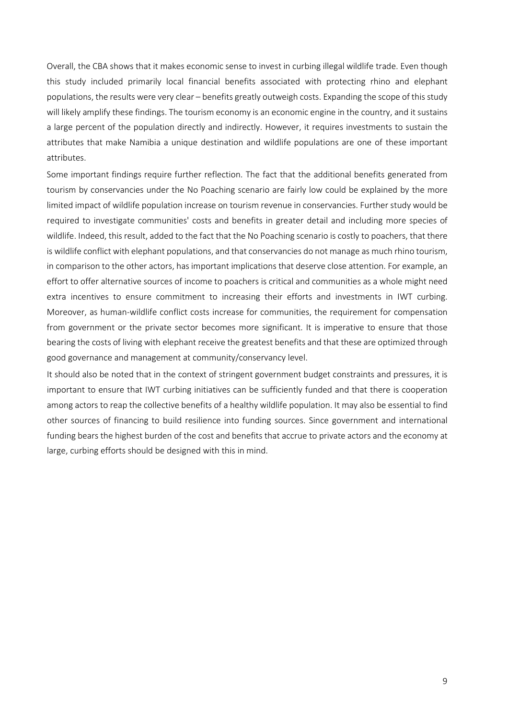Overall, the CBA shows that it makes economic sense to invest in curbing illegal wildlife trade. Even though this study included primarily local financial benefits associated with protecting rhino and elephant populations, the results were very clear – benefits greatly outweigh costs. Expanding the scope of this study will likely amplify these findings. The tourism economy is an economic engine in the country, and it sustains a large percent of the population directly and indirectly. However, it requires investments to sustain the attributes that make Namibia a unique destination and wildlife populations are one of these important attributes.

Some important findings require further reflection. The fact that the additional benefits generated from tourism by conservancies under the No Poaching scenario are fairly low could be explained by the more limited impact of wildlife population increase on tourism revenue in conservancies. Further study would be required to investigate communities' costs and benefits in greater detail and including more species of wildlife. Indeed, this result, added to the fact that the No Poaching scenario is costly to poachers, that there is wildlife conflict with elephant populations, and that conservancies do not manage as much rhino tourism, in comparison to the other actors, has important implications that deserve close attention. For example, an effort to offer alternative sources of income to poachers is critical and communities as a whole might need extra incentives to ensure commitment to increasing their efforts and investments in IWT curbing. Moreover, as human-wildlife conflict costs increase for communities, the requirement for compensation from government or the private sector becomes more significant. It is imperative to ensure that those bearing the costs of living with elephant receive the greatest benefits and that these are optimized through good governance and management at community/conservancy level.

It should also be noted that in the context of stringent government budget constraints and pressures, it is important to ensure that IWT curbing initiatives can be sufficiently funded and that there is cooperation among actors to reap the collective benefits of a healthy wildlife population. It may also be essential to find other sources of financing to build resilience into funding sources. Since government and international funding bears the highest burden of the cost and benefits that accrue to private actors and the economy at large, curbing efforts should be designed with this in mind.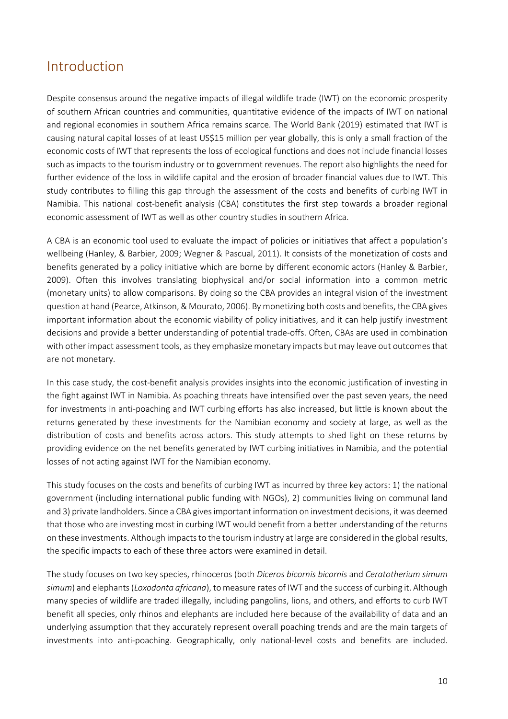## <span id="page-9-0"></span>Introduction

Despite consensus around the negative impacts of illegal wildlife trade (IWT) on the economic prosperity of southern African countries and communities, quantitative evidence of the impacts of IWT on national and regional economies in southern Africa remains scarce. The World Bank (2019) estimated that IWT is causing natural capital losses of at least US\$15 million per year globally, this is only a small fraction of the economic costs of IWT that represents the loss of ecological functions and does not include financial losses such as impacts to the tourism industry or to government revenues. The report also highlights the need for further evidence of the loss in wildlife capital and the erosion of broader financial values due to IWT. This study contributes to filling this gap through the assessment of the costs and benefits of curbing IWT in Namibia. This national cost-benefit analysis (CBA) constitutes the first step towards a broader regional economic assessment of IWT as well as other country studies in southern Africa.

A CBA is an economic tool used to evaluate the impact of policies or initiatives that affect a population's wellbeing (Hanley, & Barbier, 2009; Wegner & Pascual, 2011). It consists of the monetization of costs and benefits generated by a policy initiative which are borne by different economic actors (Hanley & Barbier, 2009). Often this involves translating biophysical and/or social information into a common metric (monetary units) to allow comparisons. By doing so the CBA provides an integral vision of the investment question at hand (Pearce, Atkinson, & Mourato, 2006). By monetizing both costs and benefits, the CBA gives important information about the economic viability of policy initiatives, and it can help justify investment decisions and provide a better understanding of potential trade-offs. Often, CBAs are used in combination with other impact assessment tools, as they emphasize monetary impacts but may leave out outcomes that are not monetary.

In this case study, the cost-benefit analysis provides insights into the economic justification of investing in the fight against IWT in Namibia. As poaching threats have intensified over the past seven years, the need for investments in anti-poaching and IWT curbing efforts has also increased, but little is known about the returns generated by these investments for the Namibian economy and society at large, as well as the distribution of costs and benefits across actors. This study attempts to shed light on these returns by providing evidence on the net benefits generated by IWT curbing initiatives in Namibia, and the potential losses of not acting against IWT for the Namibian economy.

This study focuses on the costs and benefits of curbing IWT as incurred by three key actors: 1) the national government (including international public funding with NGOs), 2) communities living on communal land and 3) private landholders. Since a CBA gives important information on investment decisions, it was deemed that those who are investing most in curbing IWT would benefit from a better understanding of the returns on these investments. Although impacts to the tourism industry at large are considered in the global results, the specific impacts to each of these three actors were examined in detail.

The study focuses on two key species, rhinoceros (both *Diceros bicornis bicornis* and *Ceratotherium simum simum*) and elephants (*Loxodonta africana*), to measure rates of IWT and the success of curbing it. Although many species of wildlife are traded illegally, including pangolins, lions, and others, and efforts to curb IWT benefit all species, only rhinos and elephants are included here because of the availability of data and an underlying assumption that they accurately represent overall poaching trends and are the main targets of investments into anti-poaching. Geographically, only national-level costs and benefits are included.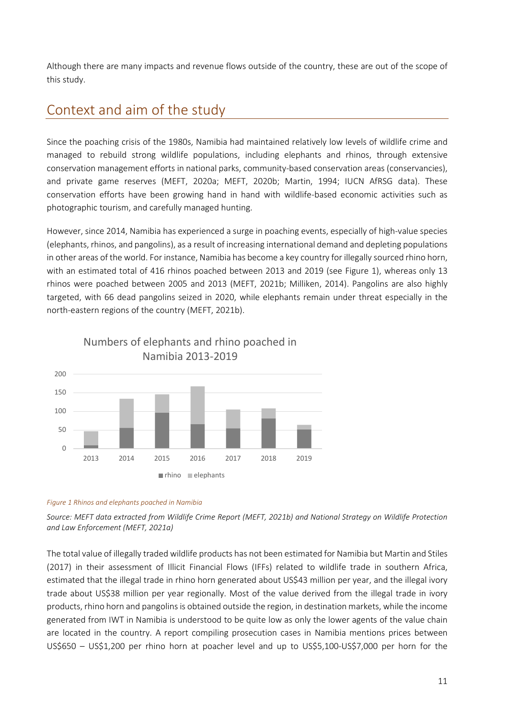Although there are many impacts and revenue flows outside of the country, these are out of the scope of this study.

# <span id="page-10-0"></span>Context and aim of the study

Since the poaching crisis of the 1980s, Namibia had maintained relatively low levels of wildlife crime and managed to rebuild strong wildlife populations, including elephants and rhinos, through extensive conservation management efforts in national parks, community-based conservation areas (conservancies), and private game reserves (MEFT, 2020a; MEFT, 2020b; Martin, 1994; IUCN AfRSG data). These conservation efforts have been growing hand in hand with wildlife-based economic activities such as photographic tourism, and carefully managed hunting.

However, since 2014, Namibia has experienced a surge in poaching events, especially of high-value species (elephants, rhinos, and pangolins), as a result of increasing international demand and depleting populations in other areas of the world. For instance, Namibia has become a key country for illegally sourced rhino horn, with an estimated total of 416 rhinos poached between 2013 and 2019 (see [Figure 1\)](#page-10-1), whereas only 13 rhinos were poached between 2005 and 2013 (MEFT, 2021b; Milliken, 2014). Pangolins are also highly targeted, with 66 dead pangolins seized in 2020, while elephants remain under threat especially in the north-eastern regions of the country (MEFT, 2021b).



Numbers of elephants and rhino poached in

#### <span id="page-10-1"></span>*Figure 1 Rhinos and elephants poached in Namibia*

*Source: MEFT data extracted from Wildlife Crime Report (MEFT, 2021b) and National Strategy on Wildlife Protection and Law Enforcement (MEFT, 2021a)* 

The total value of illegally traded wildlife products has not been estimated for Namibia but Martin and Stiles (2017) in their assessment of Illicit Financial Flows (IFFs) related to wildlife trade in southern Africa, estimated that the illegal trade in rhino horn generated about US\$43 million per year, and the illegal ivory trade about US\$38 million per year regionally. Most of the value derived from the illegal trade in ivory products, rhino horn and pangolins is obtained outside the region, in destination markets, while the income generated from IWT in Namibia is understood to be quite low as only the lower agents of the value chain are located in the country. A report compiling prosecution cases in Namibia mentions prices between US\$650 – US\$1,200 per rhino horn at poacher level and up to US\$5,100-US\$7,000 per horn for the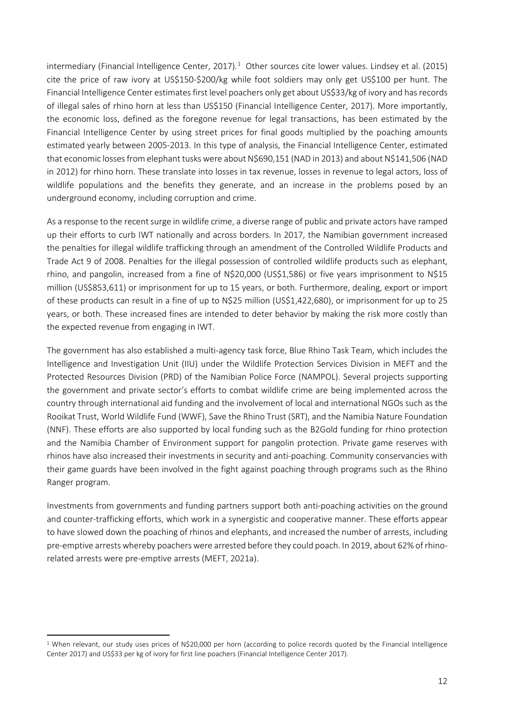intermediary (Financial Intelligence Center, 20[1](#page-11-0)7).<sup>1</sup> Other sources cite lower values. Lindsey et al. (2015) cite the price of raw ivory at US\$150-\$200/kg while foot soldiers may only get US\$100 per hunt. The Financial Intelligence Center estimates first level poachers only get about US\$33/kg of ivory and has records of illegal sales of rhino horn at less than US\$150 (Financial Intelligence Center, 2017). More importantly, the economic loss, defined as the foregone revenue for legal transactions, has been estimated by the Financial Intelligence Center by using street prices for final goods multiplied by the poaching amounts estimated yearly between 2005-2013. In this type of analysis, the Financial Intelligence Center, estimated that economic losses from elephant tusks were about N\$690,151 (NAD in 2013) and about N\$141,506 (NAD in 2012) for rhino horn. These translate into losses in tax revenue, losses in revenue to legal actors, loss of wildlife populations and the benefits they generate, and an increase in the problems posed by an underground economy, including corruption and crime.

As a response to the recent surge in wildlife crime, a diverse range of public and private actors have ramped up their efforts to curb IWT nationally and across borders. In 2017, the Namibian government increased the penalties for illegal wildlife trafficking through an amendment of the Controlled Wildlife Products and Trade Act 9 of 2008. Penalties for the illegal possession of controlled wildlife products such as elephant, rhino, and pangolin, increased from a fine of N\$20,000 (US\$1,586) or five years imprisonment to N\$15 million (US\$853,611) or imprisonment for up to 15 years, or both. Furthermore, dealing, export or import of these products can result in a fine of up to N\$25 million (US\$1,422,680), or imprisonment for up to 25 years, or both. These increased fines are intended to deter behavior by making the risk more costly than the expected revenue from engaging in IWT.

The government has also established a multi-agency task force, Blue Rhino Task Team, which includes the Intelligence and Investigation Unit (IIU) under the Wildlife Protection Services Division in MEFT and the Protected Resources Division (PRD) of the Namibian Police Force (NAMPOL). Several projects supporting the government and private sector's efforts to combat wildlife crime are being implemented across the country through international aid funding and the involvement of local and international NGOs such as the Rooikat Trust, World Wildlife Fund (WWF), Save the Rhino Trust (SRT), and the Namibia Nature Foundation (NNF). These efforts are also supported by local funding such as the B2Gold funding for rhino protection and the Namibia Chamber of Environment support for pangolin protection. Private game reserves with rhinos have also increased their investments in security and anti-poaching. Community conservancies with their game guards have been involved in the fight against poaching through programs such as the Rhino Ranger program.

Investments from governments and funding partners support both anti-poaching activities on the ground and counter-trafficking efforts, which work in a synergistic and cooperative manner. These efforts appear to have slowed down the poaching of rhinos and elephants, and increased the number of arrests, including pre-emptive arrests whereby poachers were arrested before they could poach. In 2019, about 62% of rhinorelated arrests were pre-emptive arrests (MEFT, 2021a).

<span id="page-11-0"></span><sup>1</sup> When relevant, our study uses prices of N\$20,000 per horn (according to police records quoted by the Financial Intelligence Center 2017) and US\$33 per kg of ivory for first line poachers (Financial Intelligence Center 2017).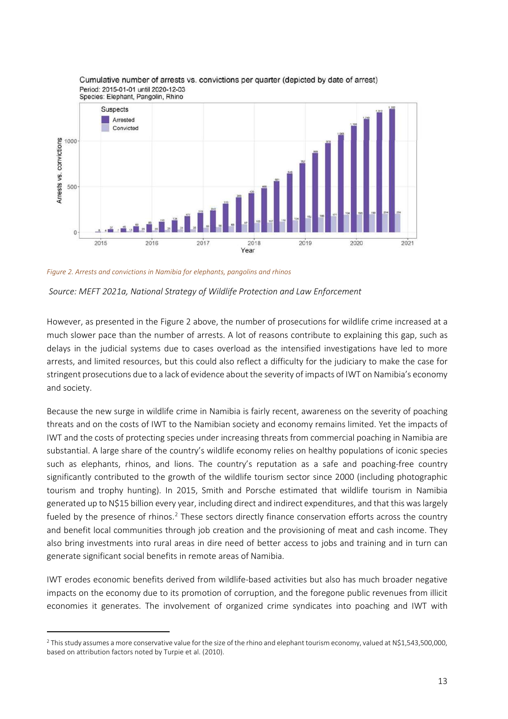

#### Cumulative number of arrests vs. convictions per quarter (depicted by date of arrest) Period: 2015-01-01 until 2020-12-03

<span id="page-12-0"></span>*Figure 2. Arrests and convictions in Namibia for elephants, pangolins and rhinos*

*Source: MEFT 2021a, National Strategy of Wildlife Protection and Law Enforcement*

However, as presented in the [Figure 2](#page-12-0) above, the number of prosecutions for wildlife crime increased at a much slower pace than the number of arrests. A lot of reasons contribute to explaining this gap, such as delays in the judicial systems due to cases overload as the intensified investigations have led to more arrests, and limited resources, but this could also reflect a difficulty for the judiciary to make the case for stringent prosecutions due to a lack of evidence about the severity of impacts of IWT on Namibia's economy and society.

Because the new surge in wildlife crime in Namibia is fairly recent, awareness on the severity of poaching threats and on the costs of IWT to the Namibian society and economy remains limited. Yet the impacts of IWT and the costs of protecting species under increasing threats from commercial poaching in Namibia are substantial. A large share of the country's wildlife economy relies on healthy populations of iconic species such as elephants, rhinos, and lions. The country's reputation as a safe and poaching-free country significantly contributed to the growth of the wildlife tourism sector since 2000 (including photographic tourism and trophy hunting). In 2015, Smith and Porsche estimated that wildlife tourism in Namibia generated up to N\$15 billion every year, including direct and indirect expenditures, and that this was largely fueled by the presence of rhinos.<sup>[2](#page-12-1)</sup> These sectors directly finance conservation efforts across the country and benefit local communities through job creation and the provisioning of meat and cash income. They also bring investments into rural areas in dire need of better access to jobs and training and in turn can generate significant social benefits in remote areas of Namibia.

IWT erodes economic benefits derived from wildlife-based activities but also has much broader negative impacts on the economy due to its promotion of corruption, and the foregone public revenues from illicit economies it generates. The involvement of organized crime syndicates into poaching and IWT with

<span id="page-12-1"></span><sup>&</sup>lt;sup>2</sup> This study assumes a more conservative value for the size of the rhino and elephant tourism economy, valued at N\$1,543,500,000, based on attribution factors noted by Turpie et al. (2010).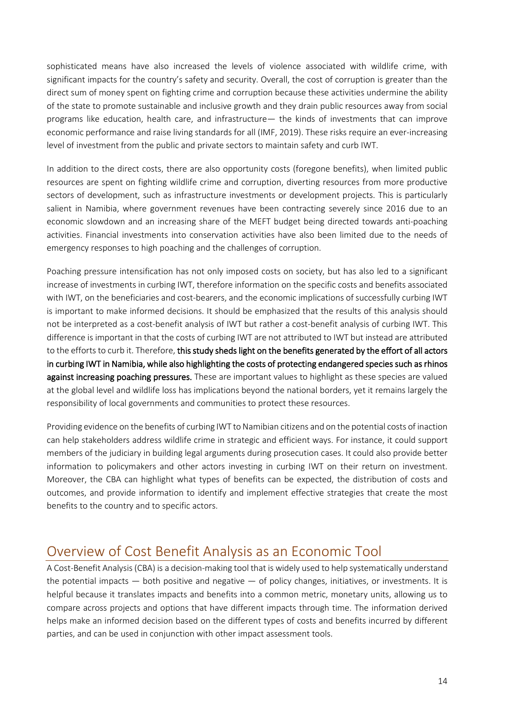sophisticated means have also increased the levels of violence associated with wildlife crime, with significant impacts for the country's safety and security. Overall, the cost of corruption is greater than the direct sum of money spent on fighting crime and corruption because these activities undermine the ability of the state to promote sustainable and inclusive growth and they drain public resources away from social programs like education, health care, and infrastructure— the kinds of investments that can improve economic performance and raise living standards for all (IMF, 2019). These risks require an ever-increasing level of investment from the public and private sectors to maintain safety and curb IWT.

In addition to the direct costs, there are also opportunity costs (foregone benefits), when limited public resources are spent on fighting wildlife crime and corruption, diverting resources from more productive sectors of development, such as infrastructure investments or development projects. This is particularly salient in Namibia, where government revenues have been contracting severely since 2016 due to an economic slowdown and an increasing share of the MEFT budget being directed towards anti-poaching activities. Financial investments into conservation activities have also been limited due to the needs of emergency responses to high poaching and the challenges of corruption.

Poaching pressure intensification has not only imposed costs on society, but has also led to a significant increase of investments in curbing IWT, therefore information on the specific costs and benefits associated with IWT, on the beneficiaries and cost-bearers, and the economic implications of successfully curbing IWT is important to make informed decisions. It should be emphasized that the results of this analysis should not be interpreted as a cost-benefit analysis of IWT but rather a cost-benefit analysis of curbing IWT. This difference is important in that the costs of curbing IWT are not attributed to IWT but instead are attributed to the efforts to curb it. Therefore, this study sheds light on the benefits generated by the effort of all actors in curbing IWT in Namibia, while also highlighting the costs of protecting endangered species such as rhinos against increasing poaching pressures. These are important values to highlight as these species are valued at the global level and wildlife loss has implications beyond the national borders, yet it remains largely the responsibility of local governments and communities to protect these resources.

Providing evidence on the benefits of curbing IWT to Namibian citizens and on the potential costs of inaction can help stakeholders address wildlife crime in strategic and efficient ways. For instance, it could support members of the judiciary in building legal arguments during prosecution cases. It could also provide better information to policymakers and other actors investing in curbing IWT on their return on investment. Moreover, the CBA can highlight what types of benefits can be expected, the distribution of costs and outcomes, and provide information to identify and implement effective strategies that create the most benefits to the country and to specific actors.

## <span id="page-13-0"></span>Overview of Cost Benefit Analysis as an Economic Tool

A Cost-Benefit Analysis (CBA) is a decision-making tool that is widely used to help systematically understand the potential impacts — both positive and negative — of policy changes, initiatives, or investments. It is helpful because it translates impacts and benefits into a common metric, monetary units, allowing us to compare across projects and options that have different impacts through time. The information derived helps make an informed decision based on the different types of costs and benefits incurred by different parties, and can be used in conjunction with other impact assessment tools.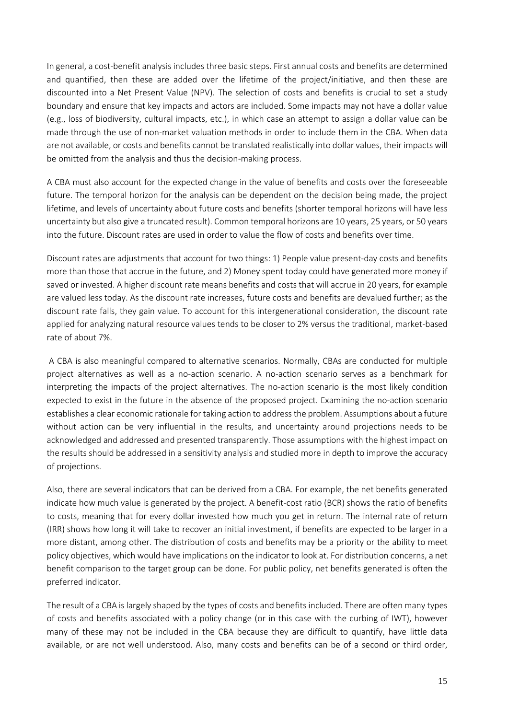In general, a cost-benefit analysis includes three basic steps. First annual costs and benefits are determined and quantified, then these are added over the lifetime of the project/initiative, and then these are discounted into a Net Present Value (NPV). The selection of costs and benefits is crucial to set a study boundary and ensure that key impacts and actors are included. Some impacts may not have a dollar value (e.g., loss of biodiversity, cultural impacts, etc.), in which case an attempt to assign a dollar value can be made through the use of non-market valuation methods in order to include them in the CBA. When data are not available, or costs and benefits cannot be translated realistically into dollar values, their impacts will be omitted from the analysis and thus the decision-making process.

A CBA must also account for the expected change in the value of benefits and costs over the foreseeable future. The temporal horizon for the analysis can be dependent on the decision being made, the project lifetime, and levels of uncertainty about future costs and benefits (shorter temporal horizons will have less uncertainty but also give a truncated result). Common temporal horizons are 10 years, 25 years, or 50 years into the future. Discount rates are used in order to value the flow of costs and benefits over time.

Discount rates are adjustments that account for two things: 1) People value present-day costs and benefits more than those that accrue in the future, and 2) Money spent today could have generated more money if saved or invested. A higher discount rate means benefits and costs that will accrue in 20 years, for example are valued less today. As the discount rate increases, future costs and benefits are devalued further; as the discount rate falls, they gain value. To account for this intergenerational consideration, the discount rate applied for analyzing natural resource values tends to be closer to 2% versus the traditional, market-based rate of about 7%.

A CBA is also meaningful compared to alternative scenarios. Normally, CBAs are conducted for multiple project alternatives as well as a no-action scenario. A no-action scenario serves as a benchmark for interpreting the impacts of the project alternatives. The no-action scenario is the most likely condition expected to exist in the future in the absence of the proposed project. Examining the no-action scenario establishes a clear economic rationale for taking action to address the problem. Assumptions about a future without action can be very influential in the results, and uncertainty around projections needs to be acknowledged and addressed and presented transparently. Those assumptions with the highest impact on the results should be addressed in a sensitivity analysis and studied more in depth to improve the accuracy of projections.

Also, there are several indicators that can be derived from a CBA. For example, the net benefits generated indicate how much value is generated by the project. A benefit-cost ratio (BCR) shows the ratio of benefits to costs, meaning that for every dollar invested how much you get in return. The internal rate of return (IRR) shows how long it will take to recover an initial investment, if benefits are expected to be larger in a more distant, among other. The distribution of costs and benefits may be a priority or the ability to meet policy objectives, which would have implications on the indicator to look at. For distribution concerns, a net benefit comparison to the target group can be done. For public policy, net benefits generated is often the preferred indicator.

The result of a CBA is largely shaped by the types of costs and benefits included. There are often many types of costs and benefits associated with a policy change (or in this case with the curbing of IWT), however many of these may not be included in the CBA because they are difficult to quantify, have little data available, or are not well understood. Also, many costs and benefits can be of a second or third order,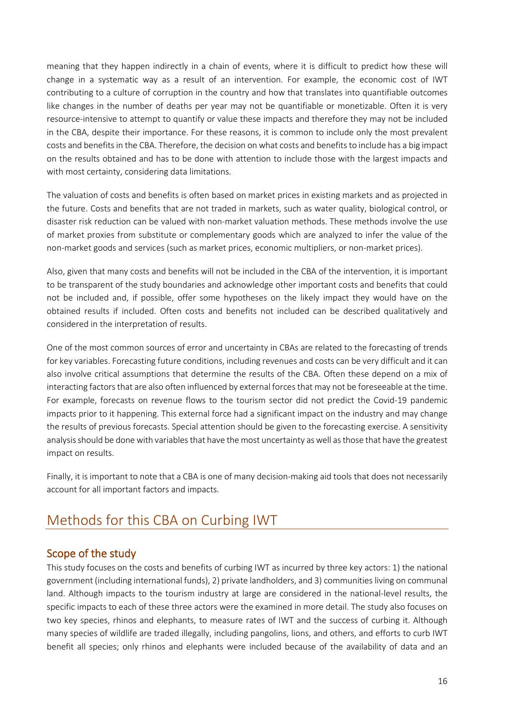meaning that they happen indirectly in a chain of events, where it is difficult to predict how these will change in a systematic way as a result of an intervention. For example, the economic cost of IWT contributing to a culture of corruption in the country and how that translates into quantifiable outcomes like changes in the number of deaths per year may not be quantifiable or monetizable. Often it is very resource-intensive to attempt to quantify or value these impacts and therefore they may not be included in the CBA, despite their importance. For these reasons, it is common to include only the most prevalent costs and benefits in the CBA. Therefore, the decision on what costs and benefits to include has a big impact on the results obtained and has to be done with attention to include those with the largest impacts and with most certainty, considering data limitations.

The valuation of costs and benefits is often based on market prices in existing markets and as projected in the future. Costs and benefits that are not traded in markets, such as water quality, biological control, or disaster risk reduction can be valued with non-market valuation methods. These methods involve the use of market proxies from substitute or complementary goods which are analyzed to infer the value of the non-market goods and services (such as market prices, economic multipliers, or non-market prices).

Also, given that many costs and benefits will not be included in the CBA of the intervention, it is important to be transparent of the study boundaries and acknowledge other important costs and benefits that could not be included and, if possible, offer some hypotheses on the likely impact they would have on the obtained results if included. Often costs and benefits not included can be described qualitatively and considered in the interpretation of results.

One of the most common sources of error and uncertainty in CBAs are related to the forecasting of trends for key variables. Forecasting future conditions, including revenues and costs can be very difficult and it can also involve critical assumptions that determine the results of the CBA. Often these depend on a mix of interacting factors that are also often influenced by external forces that may not be foreseeable at the time. For example, forecasts on revenue flows to the tourism sector did not predict the Covid-19 pandemic impacts prior to it happening. This external force had a significant impact on the industry and may change the results of previous forecasts. Special attention should be given to the forecasting exercise. A sensitivity analysis should be done with variables that have the most uncertainty as well as those that have the greatest impact on results.

Finally, it is important to note that a CBA is one of many decision-making aid tools that does not necessarily account for all important factors and impacts.

# <span id="page-15-0"></span>Methods for this CBA on Curbing IWT

## <span id="page-15-1"></span>Scope of the study

This study focuses on the costs and benefits of curbing IWT as incurred by three key actors: 1) the national government (including international funds), 2) private landholders, and 3) communities living on communal land. Although impacts to the tourism industry at large are considered in the national-level results, the specific impacts to each of these three actors were the examined in more detail. The study also focuses on two key species, rhinos and elephants, to measure rates of IWT and the success of curbing it. Although many species of wildlife are traded illegally, including pangolins, lions, and others, and efforts to curb IWT benefit all species; only rhinos and elephants were included because of the availability of data and an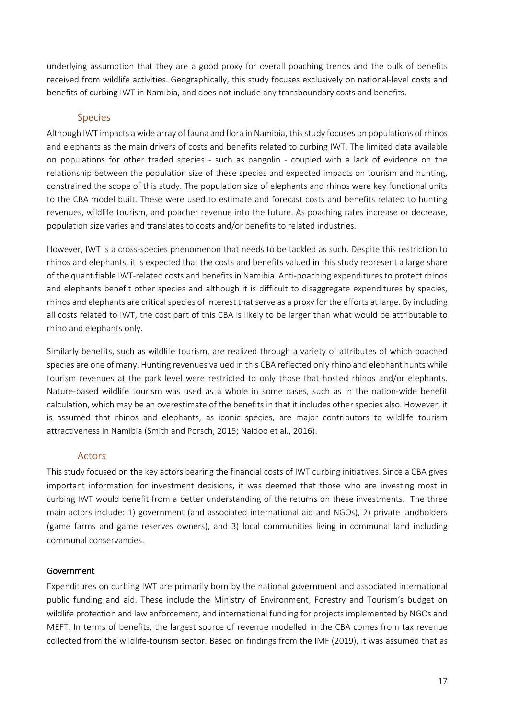underlying assumption that they are a good proxy for overall poaching trends and the bulk of benefits received from wildlife activities. Geographically, this study focuses exclusively on national-level costs and benefits of curbing IWT in Namibia, and does not include any transboundary costs and benefits.

#### Species

<span id="page-16-0"></span>Although IWT impacts a wide array of fauna and flora in Namibia, this study focuses on populations of rhinos and elephants as the main drivers of costs and benefits related to curbing IWT. The limited data available on populations for other traded species - such as pangolin - coupled with a lack of evidence on the relationship between the population size of these species and expected impacts on tourism and hunting, constrained the scope of this study. The population size of elephants and rhinos were key functional units to the CBA model built. These were used to estimate and forecast costs and benefits related to hunting revenues, wildlife tourism, and poacher revenue into the future. As poaching rates increase or decrease, population size varies and translates to costs and/or benefits to related industries.

However, IWT is a cross-species phenomenon that needs to be tackled as such. Despite this restriction to rhinos and elephants, it is expected that the costs and benefits valued in this study represent a large share of the quantifiable IWT-related costs and benefits in Namibia. Anti-poaching expenditures to protect rhinos and elephants benefit other species and although it is difficult to disaggregate expenditures by species, rhinos and elephants are critical species of interest that serve as a proxy for the efforts at large. By including all costs related to IWT, the cost part of this CBA is likely to be larger than what would be attributable to rhino and elephants only.

Similarly benefits, such as wildlife tourism, are realized through a variety of attributes of which poached species are one of many. Hunting revenues valued in this CBA reflected only rhino and elephant hunts while tourism revenues at the park level were restricted to only those that hosted rhinos and/or elephants. Nature-based wildlife tourism was used as a whole in some cases, such as in the nation-wide benefit calculation, which may be an overestimate of the benefits in that it includes other species also. However, it is assumed that rhinos and elephants, as iconic species, are major contributors to wildlife tourism attractiveness in Namibia (Smith and Porsch, 2015; Naidoo et al., 2016).

### Actors

<span id="page-16-1"></span>This study focused on the key actors bearing the financial costs of IWT curbing initiatives. Since a CBA gives important information for investment decisions, it was deemed that those who are investing most in curbing IWT would benefit from a better understanding of the returns on these investments. The three main actors include: 1) government (and associated international aid and NGOs), 2) private landholders (game farms and game reserves owners), and 3) local communities living in communal land including communal conservancies.

#### Government

Expenditures on curbing IWT are primarily born by the national government and associated international public funding and aid. These include the Ministry of Environment, Forestry and Tourism's budget on wildlife protection and law enforcement, and international funding for projects implemented by NGOs and MEFT. In terms of benefits, the largest source of revenue modelled in the CBA comes from tax revenue collected from the wildlife-tourism sector. Based on findings from the IMF (2019), it was assumed that as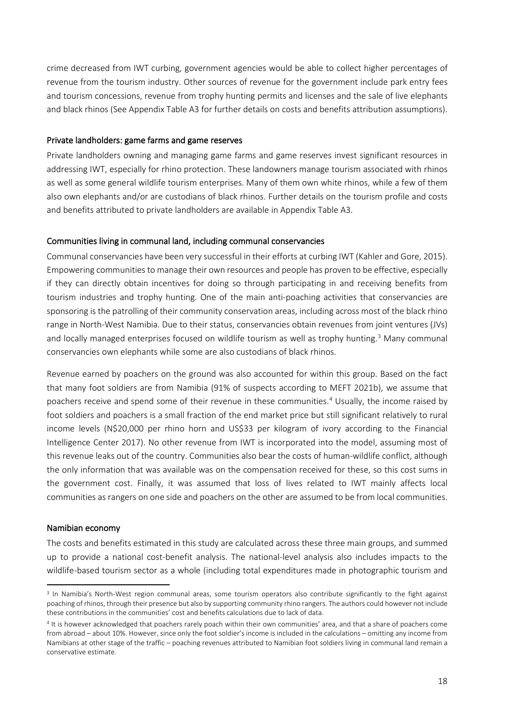crime decreased from IWT curbing, government agencies would be able to collect higher percentages of revenue from the tourism industry. Other sources of revenue for the government include park entry fees and tourism concessions, revenue from trophy hunting permits and licenses and the sale of live elephants and black rhinos (See Appendix Table A3 for further details on costs and benefits attribution assumptions).

#### Private landholders: game farms and game reserves

Private landholders owning and managing game farms and game reserves invest significant resources in addressing IWT, especially for rhino protection. These landowners manage tourism associated with rhinos as well as some general wildlife tourism enterprises. Many of them own white rhinos, while a few of them also own elephants and/or are custodians of black rhinos. Further details on the tourism profile and costs and benefits attributed to private landholders are available in Appendix Table A3.

#### Communities living in communal land, including communal conservancies

Communal conservancies have been very successful in their efforts at curbing IWT (Kahler and Gore, 2015). Empowering communities to manage their own resources and people has proven to be effective, especially if they can directly obtain incentives for doing so through participating in and receiving benefits from tourism industries and trophy hunting. One of the main anti-poaching activities that conservancies are sponsoring is the patrolling of their community conservation areas, including across most of the black rhino range in North-West Namibia. Due to their status, conservancies obtain revenues from joint ventures (JVs) and locally managed enterprises focused on wildlife tourism as well as trophy hunting. [3](#page-17-0) Many communal conservancies own elephants while some are also custodians of black rhinos.

Revenue earned by poachers on the ground was also accounted for within this group. Based on the fact that many foot soldiers are from Namibia (91% of suspects according to MEFT 2021b), we assume that poachers receive and spend some of their revenue in these communities.<sup>[4](#page-17-1)</sup> Usually, the income raised by foot soldiers and poachers is a small fraction of the end market price but still significant relatively to rural income levels (N\$20,000 per rhino horn and US\$33 per kilogram of ivory according to the Financial Intelligence Center 2017). No other revenue from IWT is incorporated into the model, assuming most of this revenue leaks out of the country. Communities also bear the costs of human-wildlife conflict, although the only information that was available was on the compensation received for these, so this cost sums in the government cost. Finally, it was assumed that loss of lives related to IWT mainly affects local communities as rangers on one side and poachers on the other are assumed to be from local communities.

#### Namibian economy

The costs and benefits estimated in this study are calculated across these three main groups, and summed up to provide a national cost-benefit analysis. The national-level analysis also includes impacts to the wildlife-based tourism sector as a whole (including total expenditures made in photographic tourism and

<span id="page-17-0"></span><sup>&</sup>lt;sup>3</sup> In Namibia's North-West region communal areas, some tourism operators also contribute significantly to the fight against poaching of rhinos, through their presence but also by supporting community rhino rangers. The authors could however not include these contributions in the communities' cost and benefits calculations due to lack of data.

<span id="page-17-1"></span><sup>4</sup> It is however acknowledged that poachers rarely poach within their own communities' area, and that a share of poachers come from abroad – about 10%. However, since only the foot soldier's income is included in the calculations – omitting any income from Namibians at other stage of the traffic – poaching revenues attributed to Namibian foot soldiers living in communal land remain a conservative estimate.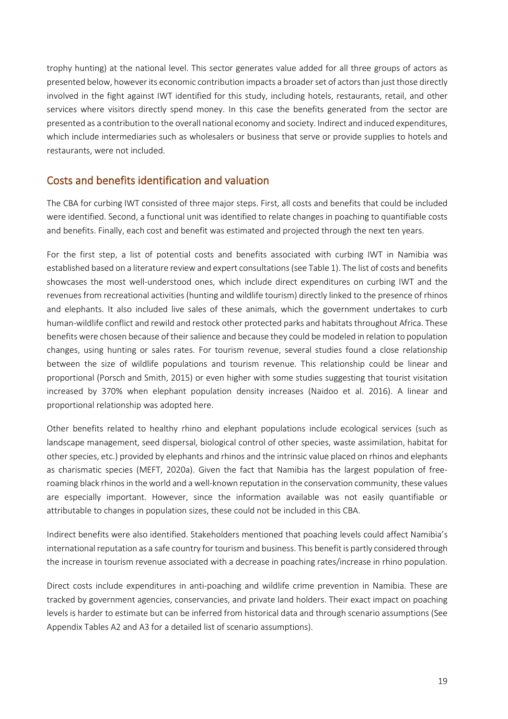trophy hunting) at the national level. This sector generates value added for all three groups of actors as presented below, however its economic contribution impacts a broader set of actors than just those directly involved in the fight against IWT identified for this study, including hotels, restaurants, retail, and other services where visitors directly spend money. In this case the benefits generated from the sector are presented as a contribution to the overall national economy and society. Indirect and induced expenditures, which include intermediaries such as wholesalers or business that serve or provide supplies to hotels and restaurants, were not included.

## <span id="page-18-0"></span>Costs and benefits identification and valuation

The CBA for curbing IWT consisted of three major steps. First, all costs and benefits that could be included were identified. Second, a functional unit was identified to relate changes in poaching to quantifiable costs and benefits. Finally, each cost and benefit was estimated and projected through the next ten years.

For the first step, a list of potential costs and benefits associated with curbing IWT in Namibia was established based on a literature review and expert consultations (se[e Table 1\)](#page-19-0). The list of costs and benefits showcases the most well-understood ones, which include direct expenditures on curbing IWT and the revenues from recreational activities (hunting and wildlife tourism) directly linked to the presence of rhinos and elephants. It also included live sales of these animals, which the government undertakes to curb human-wildlife conflict and rewild and restock other protected parks and habitats throughout Africa. These benefits were chosen because of their salience and because they could be modeled in relation to population changes, using hunting or sales rates. For tourism revenue, several studies found a close relationship between the size of wildlife populations and tourism revenue. This relationship could be linear and proportional (Porsch and Smith, 2015) or even higher with some studies suggesting that tourist visitation increased by 370% when elephant population density increases (Naidoo et al. 2016). A linear and proportional relationship was adopted here.

Other benefits related to healthy rhino and elephant populations include ecological services (such as landscape management, seed dispersal, biological control of other species, waste assimilation, habitat for other species, etc.) provided by elephants and rhinos and the intrinsic value placed on rhinos and elephants as charismatic species (MEFT, 2020a). Given the fact that Namibia has the largest population of freeroaming black rhinos in the world and a well-known reputation in the conservation community, these values are especially important. However, since the information available was not easily quantifiable or attributable to changes in population sizes, these could not be included in this CBA.

Indirect benefits were also identified. Stakeholders mentioned that poaching levels could affect Namibia's international reputation as a safe country for tourism and business. This benefit is partly considered through the increase in tourism revenue associated with a decrease in poaching rates/increase in rhino population.

Direct costs include expenditures in anti-poaching and wildlife crime prevention in Namibia. These are tracked by government agencies, conservancies, and private land holders. Their exact impact on poaching levels is harder to estimate but can be inferred from historical data and through scenario assumptions (See Appendix Tables A2 and A3 for a detailed list of scenario assumptions).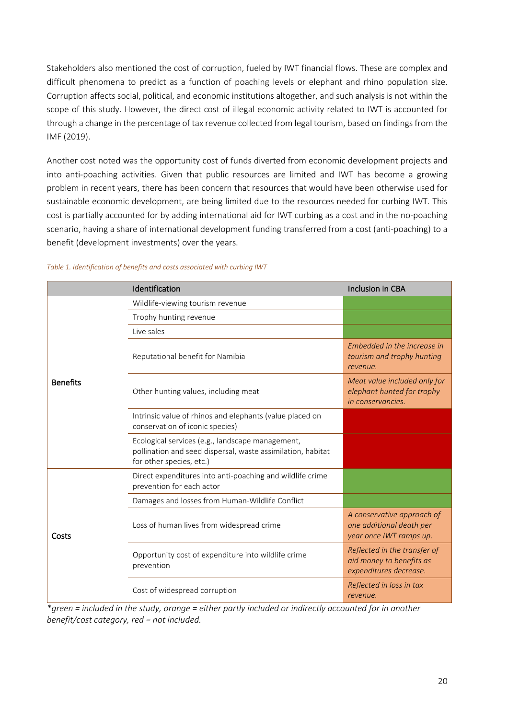Stakeholders also mentioned the cost of corruption, fueled by IWT financial flows. These are complex and difficult phenomena to predict as a function of poaching levels or elephant and rhino population size. Corruption affects social, political, and economic institutions altogether, and such analysis is not within the scope of this study. However, the direct cost of illegal economic activity related to IWT is accounted for through a change in the percentage of tax revenue collected from legal tourism, based on findings from the IMF (2019).

Another cost noted was the opportunity cost of funds diverted from economic development projects and into anti-poaching activities. Given that public resources are limited and IWT has become a growing problem in recent years, there has been concern that resources that would have been otherwise used for sustainable economic development, are being limited due to the resources needed for curbing IWT. This cost is partially accounted for by adding international aid for IWT curbing as a cost and in the no-poaching scenario, having a share of international development funding transferred from a cost (anti-poaching) to a benefit (development investments) over the years.

|                 | Identification                                                                                                                              | <b>Inclusion in CBA</b>                                                            |
|-----------------|---------------------------------------------------------------------------------------------------------------------------------------------|------------------------------------------------------------------------------------|
|                 | Wildlife-viewing tourism revenue                                                                                                            |                                                                                    |
|                 | Trophy hunting revenue                                                                                                                      |                                                                                    |
|                 | Live sales                                                                                                                                  |                                                                                    |
|                 | Reputational benefit for Namibia                                                                                                            | Embedded in the increase in<br>tourism and trophy hunting<br>revenue.              |
| <b>Benefits</b> | Other hunting values, including meat                                                                                                        | Meat value included only for<br>elephant hunted for trophy<br>in conservancies.    |
|                 | Intrinsic value of rhinos and elephants (value placed on<br>conservation of iconic species)                                                 |                                                                                    |
|                 | Ecological services (e.g., landscape management,<br>pollination and seed dispersal, waste assimilation, habitat<br>for other species, etc.) |                                                                                    |
|                 | Direct expenditures into anti-poaching and wildlife crime<br>prevention for each actor                                                      |                                                                                    |
|                 | Damages and losses from Human-Wildlife Conflict                                                                                             |                                                                                    |
| Costs           | Loss of human lives from widespread crime                                                                                                   | A conservative approach of<br>one additional death per<br>year once IWT ramps up.  |
|                 | Opportunity cost of expenditure into wildlife crime<br>prevention                                                                           | Reflected in the transfer of<br>aid money to benefits as<br>expenditures decrease. |
|                 | Cost of widespread corruption                                                                                                               | Reflected in loss in tax<br>revenue.                                               |

#### <span id="page-19-0"></span>*Table 1. Identification of benefits and costs associated with curbing IWT*

*\*green = included in the study, orange = either partly included or indirectly accounted for in another benefit/cost category, red = not included.*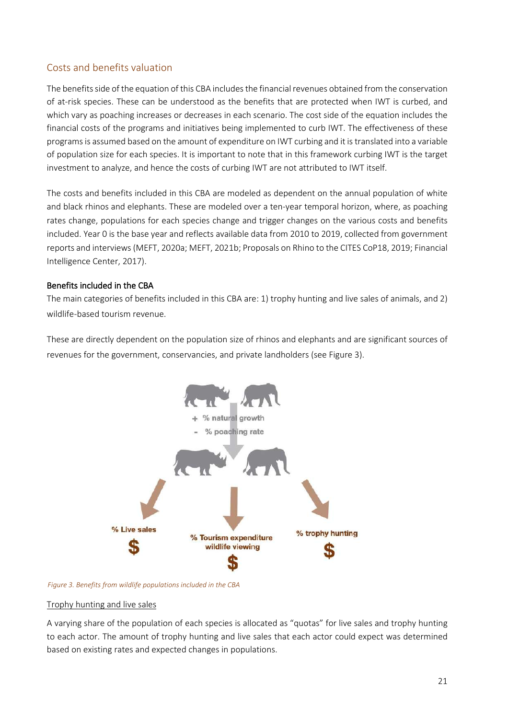### <span id="page-20-0"></span>Costs and benefits valuation

The benefits side of the equation of this CBA includes the financial revenues obtained from the conservation of at-risk species. These can be understood as the benefits that are protected when IWT is curbed, and which vary as poaching increases or decreases in each scenario. The cost side of the equation includes the financial costs of the programs and initiatives being implemented to curb IWT. The effectiveness of these programs is assumed based on the amount of expenditure on IWT curbing and it is translated into a variable of population size for each species. It is important to note that in this framework curbing IWT is the target investment to analyze, and hence the costs of curbing IWT are not attributed to IWT itself.

The costs and benefits included in this CBA are modeled as dependent on the annual population of white and black rhinos and elephants. These are modeled over a ten-year temporal horizon, where, as poaching rates change, populations for each species change and trigger changes on the various costs and benefits included. Year 0 is the base year and reflects available data from 2010 to 2019, collected from government reports and interviews (MEFT, 2020a; MEFT, 2021b; Proposals on Rhino to the CITES CoP18, 2019; Financial Intelligence Center, 2017).

#### Benefits included in the CBA

The main categories of benefits included in this CBA are: 1) trophy hunting and live sales of animals, and 2) wildlife-based tourism revenue.

These are directly dependent on the population size of rhinos and elephants and are significant sources of revenues for the government, conservancies, and private landholders (see [Figure 3\)](#page-20-1).



<span id="page-20-1"></span>*Figure 3. Benefits from wildlife populations included in the CBA*

#### Trophy hunting and live sales

A varying share of the population of each species is allocated as "quotas" for live sales and trophy hunting to each actor. The amount of trophy hunting and live sales that each actor could expect was determined based on existing rates and expected changes in populations.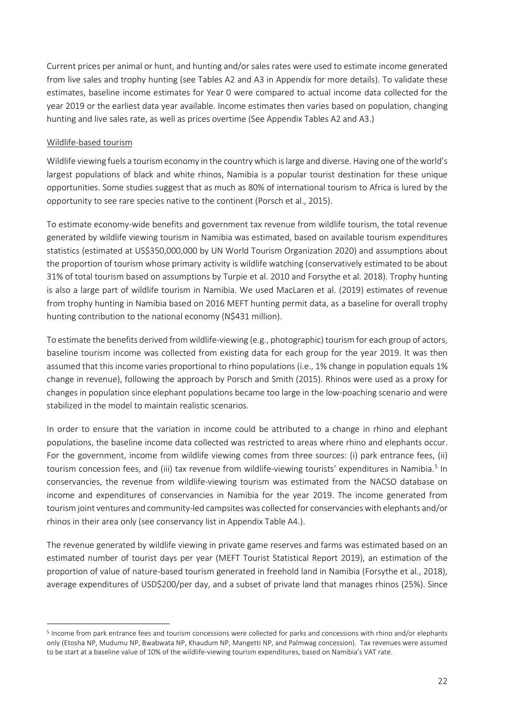Current prices per animal or hunt, and hunting and/or sales rates were used to estimate income generated from live sales and trophy hunting (see Tables A2 and A3 in Appendix for more details). To validate these estimates, baseline income estimates for Year 0 were compared to actual income data collected for the year 2019 or the earliest data year available. Income estimates then varies based on population, changing hunting and live sales rate, as well as prices overtime (See Appendix Tables A2 and A3.)

#### Wildlife-based tourism

Wildlife viewing fuels a tourism economy in the country which is large and diverse. Having one of the world's largest populations of black and white rhinos, Namibia is a popular tourist destination for these unique opportunities. Some studies suggest that as much as 80% of international tourism to Africa is lured by the opportunity to see rare species native to the continent (Porsch et al., 2015).

To estimate economy-wide benefits and government tax revenue from wildlife tourism, the total revenue generated by wildlife viewing tourism in Namibia was estimated, based on available tourism expenditures statistics (estimated at US\$350,000,000 by UN World Tourism Organization 2020) and assumptions about the proportion of tourism whose primary activity is wildlife watching (conservatively estimated to be about 31% of total tourism based on assumptions by Turpie et al. 2010 and Forsythe et al. 2018). Trophy hunting is also a large part of wildlife tourism in Namibia. We used MacLaren et al. (2019) estimates of revenue from trophy hunting in Namibia based on 2016 MEFT hunting permit data, as a baseline for overall trophy hunting contribution to the national economy (N\$431 million).

To estimate the benefits derived from wildlife-viewing (e.g., photographic) tourism for each group of actors, baseline tourism income was collected from existing data for each group for the year 2019. It was then assumed that this income varies proportional to rhino populations (i.e., 1% change in population equals 1% change in revenue), following the approach by Porsch and Smith (2015). Rhinos were used as a proxy for changes in population since elephant populations became too large in the low-poaching scenario and were stabilized in the model to maintain realistic scenarios.

In order to ensure that the variation in income could be attributed to a change in rhino and elephant populations, the baseline income data collected was restricted to areas where rhino and elephants occur. For the government, income from wildlife viewing comes from three sources: (i) park entrance fees, (ii) tourism concession fees, and (iii) tax revenue from wildlife-viewing tourists' expenditures in Namibia.<sup>[5](#page-21-0)</sup> In conservancies, the revenue from wildlife-viewing tourism was estimated from the NACSO database on income and expenditures of conservancies in Namibia for the year 2019. The income generated from tourism joint ventures and community-led campsites was collected for conservancies with elephants and/or rhinos in their area only (see conservancy list in Appendix Table A4.).

The revenue generated by wildlife viewing in private game reserves and farms was estimated based on an estimated number of tourist days per year (MEFT Tourist Statistical Report 2019), an estimation of the proportion of value of nature-based tourism generated in freehold land in Namibia (Forsythe et al., 2018), average expenditures of USD\$200/per day, and a subset of private land that manages rhinos (25%). Since

<span id="page-21-0"></span><sup>5</sup> Income from park entrance fees and tourism concessions were collected for parks and concessions with rhino and/or elephants only (Etosha NP, Mudumu NP, Bwabwata NP, Khaudum NP, Mangetti NP, and Palmwag concession). Tax revenues were assumed to be start at a baseline value of 10% of the wildlife-viewing tourism expenditures, based on Namibia's VAT rate.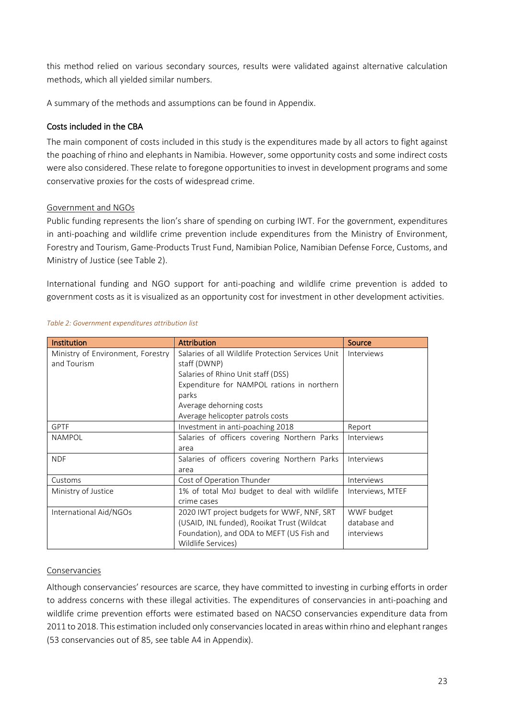this method relied on various secondary sources, results were validated against alternative calculation methods, which all yielded similar numbers.

A summary of the methods and assumptions can be found in Appendix.

### Costs included in the CBA

The main component of costs included in this study is the expenditures made by all actors to fight against the poaching of rhino and elephants in Namibia. However, some opportunity costs and some indirect costs were also considered. These relate to foregone opportunities to invest in development programs and some conservative proxies for the costs of widespread crime.

#### Government and NGOs

Public funding represents the lion's share of spending on curbing IWT. For the government, expenditures in anti-poaching and wildlife crime prevention include expenditures from the Ministry of Environment, Forestry and Tourism, Game-Products Trust Fund, Namibian Police, Namibian Defense Force, Customs, and Ministry of Justice (see Table 2).

International funding and NGO support for anti-poaching and wildlife crime prevention is added to government costs as it is visualized as an opportunity cost for investment in other development activities.

| Institution                       | <b>Attribution</b>                                | <b>Source</b>    |
|-----------------------------------|---------------------------------------------------|------------------|
| Ministry of Environment, Forestry | Salaries of all Wildlife Protection Services Unit | Interviews       |
| and Tourism                       | staff (DWNP)                                      |                  |
|                                   | Salaries of Rhino Unit staff (DSS)                |                  |
|                                   | Expenditure for NAMPOL rations in northern        |                  |
|                                   | parks                                             |                  |
|                                   | Average dehorning costs                           |                  |
|                                   | Average helicopter patrols costs                  |                  |
| <b>GPTF</b>                       | Investment in anti-poaching 2018                  | Report           |
| <b>NAMPOL</b>                     | Salaries of officers covering Northern Parks      | Interviews       |
|                                   | area                                              |                  |
| <b>NDF</b>                        | Salaries of officers covering Northern Parks      | Interviews       |
|                                   | area                                              |                  |
| Customs                           | Cost of Operation Thunder                         | Interviews       |
| Ministry of Justice               | 1% of total MoJ budget to deal with wildlife      | Interviews, MTEF |
|                                   | crime cases                                       |                  |
| International Aid/NGOs            | 2020 IWT project budgets for WWF, NNF, SRT        | WWF budget       |
|                                   | (USAID, INL funded), Rooikat Trust (Wildcat)      | database and     |
|                                   | Foundation), and ODA to MEFT (US Fish and         | interviews       |
|                                   | Wildlife Services)                                |                  |

#### <span id="page-22-0"></span>*Table 2: Government expenditures attribution list*

#### Conservancies

Although conservancies' resources are scarce, they have committed to investing in curbing efforts in order to address concerns with these illegal activities. The expenditures of conservancies in anti-poaching and wildlife crime prevention efforts were estimated based on NACSO conservancies expenditure data from 2011 to 2018. This estimation included only conservancies located in areas within rhino and elephant ranges (53 conservancies out of 85, see table A4 in Appendix).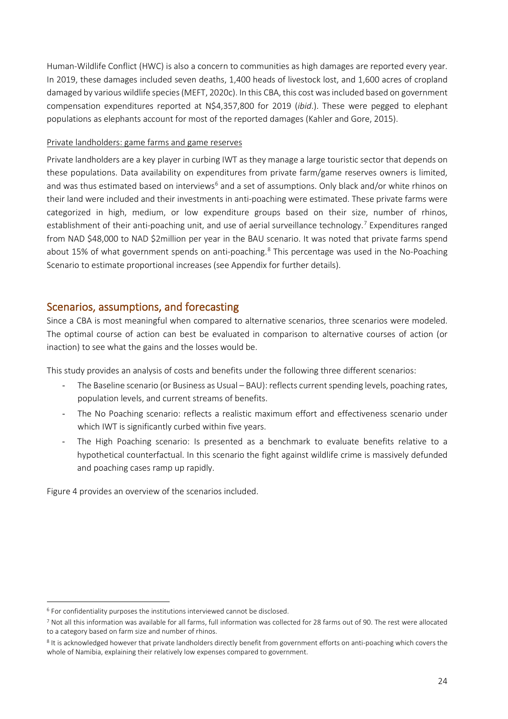Human-Wildlife Conflict (HWC) is also a concern to communities as high damages are reported every year. In 2019, these damages included seven deaths, 1,400 heads of livestock lost, and 1,600 acres of cropland damaged by various wildlife species (MEFT, 2020c). In this CBA, this cost was included based on government compensation expenditures reported at N\$4,357,800 for 2019 (*ibid*.). These were pegged to elephant populations as elephants account for most of the reported damages (Kahler and Gore, 2015).

#### Private landholders: game farms and game reserves

Private landholders are a key player in curbing IWT as they manage a large touristic sector that depends on these populations. Data availability on expenditures from private farm/game reserves owners is limited, and was thus estimated based on interviews<sup>[6](#page-23-1)</sup> and a set of assumptions. Only black and/or white rhinos on their land were included and their investments in anti-poaching were estimated. These private farms were categorized in high, medium, or low expenditure groups based on their size, number of rhinos, establishment of their anti-poaching unit, and use of aerial surveillance technology.<sup>[7](#page-23-2)</sup> Expenditures ranged from NAD \$48,000 to NAD \$2million per year in the BAU scenario. It was noted that private farms spend about 15% of what government spends on anti-poaching.<sup>[8](#page-23-3)</sup> This percentage was used in the No-Poaching Scenario to estimate proportional increases (see Appendix for further details).

## <span id="page-23-0"></span>Scenarios, assumptions, and forecasting

Since a CBA is most meaningful when compared to alternative scenarios, three scenarios were modeled. The optimal course of action can best be evaluated in comparison to alternative courses of action (or inaction) to see what the gains and the losses would be.

This study provides an analysis of costs and benefits under the following three different scenarios:

- The Baseline scenario (or Business as Usual BAU): reflects current spending levels, poaching rates, population levels, and current streams of benefits.
- The No Poaching scenario: reflects a realistic maximum effort and effectiveness scenario under which IWT is significantly curbed within five years.
- The High Poaching scenario: Is presented as a benchmark to evaluate benefits relative to a hypothetical counterfactual. In this scenario the fight against wildlife crime is massively defunded and poaching cases ramp up rapidly.

[Figure 4](#page-24-0) provides an overview of the scenarios included.

<span id="page-23-1"></span><sup>6</sup> For confidentiality purposes the institutions interviewed cannot be disclosed.

<span id="page-23-2"></span><sup>7</sup> Not all this information was available for all farms, full information was collected for 28 farms out of 90. The rest were allocated to a category based on farm size and number of rhinos.

<span id="page-23-3"></span><sup>8</sup> It is acknowledged however that private landholders directly benefit from government efforts on anti-poaching which covers the whole of Namibia, explaining their relatively low expenses compared to government.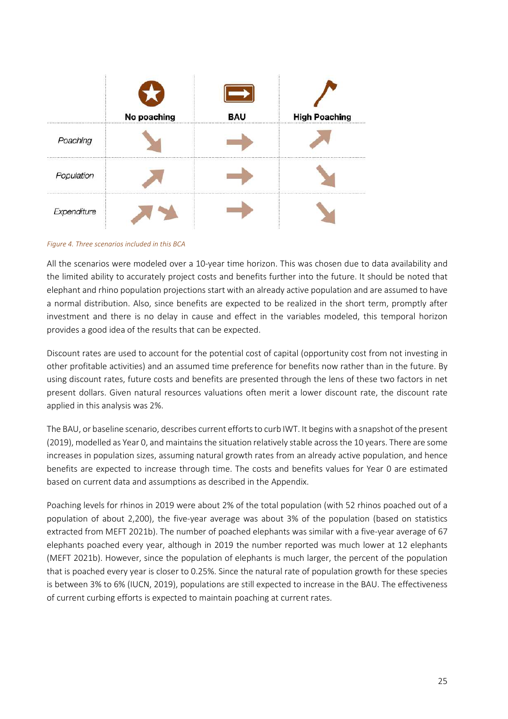|             | No poaching | BAU<br><b>WELFARE CONTROLLED FOR STREET</b> | <b>High Poaching</b><br>                                                                                                                                                                                                      |
|-------------|-------------|---------------------------------------------|-------------------------------------------------------------------------------------------------------------------------------------------------------------------------------------------------------------------------------|
| Poaching    |             |                                             |                                                                                                                                                                                                                               |
| Population  |             |                                             |                                                                                                                                                                                                                               |
| Expenditure |             |                                             | 1 1 8 1 2 3 4 5 6 7 8 9 9 9 9 9 9 9 9 9 9 9 9 9 9 9 0 1 2 3 4 5 6 7 8 9 0 1 2 3 4 5 6 7 8 9 0 1 2 3 4 5 6 7 8 9 0 1 2 3 4 5 6 7 8 9 0 1 2 3 4 5 6 7 8 9 0 1 2 3 4 5 6 7 8 9 0 1 2 3 4 5 6 7 8 9 0 1 2 3 4 5 6 7 8 9 0 1 2 3 4 |

#### <span id="page-24-0"></span>*Figure 4. Three scenarios included in this BCA*

All the scenarios were modeled over a 10-year time horizon. This was chosen due to data availability and the limited ability to accurately project costs and benefits further into the future. It should be noted that elephant and rhino population projections start with an already active population and are assumed to have a normal distribution. Also, since benefits are expected to be realized in the short term, promptly after investment and there is no delay in cause and effect in the variables modeled, this temporal horizon provides a good idea of the results that can be expected.

Discount rates are used to account for the potential cost of capital (opportunity cost from not investing in other profitable activities) and an assumed time preference for benefits now rather than in the future. By using discount rates, future costs and benefits are presented through the lens of these two factors in net present dollars. Given natural resources valuations often merit a lower discount rate, the discount rate applied in this analysis was 2%.

The BAU, or baseline scenario, describes current efforts to curb IWT. It begins with a snapshot of the present (2019), modelled as Year 0, and maintains the situation relatively stable across the 10 years. There are some increases in population sizes, assuming natural growth rates from an already active population, and hence benefits are expected to increase through time. The costs and benefits values for Year 0 are estimated based on current data and assumptions as described in the Appendix.

Poaching levels for rhinos in 2019 were about 2% of the total population (with 52 rhinos poached out of a population of about 2,200), the five-year average was about 3% of the population (based on statistics extracted from MEFT 2021b). The number of poached elephants was similar with a five-year average of 67 elephants poached every year, although in 2019 the number reported was much lower at 12 elephants (MEFT 2021b). However, since the population of elephants is much larger, the percent of the population that is poached every year is closer to 0.25%. Since the natural rate of population growth for these species is between 3% to 6% (IUCN, 2019), populations are still expected to increase in the BAU. The effectiveness of current curbing efforts is expected to maintain poaching at current rates.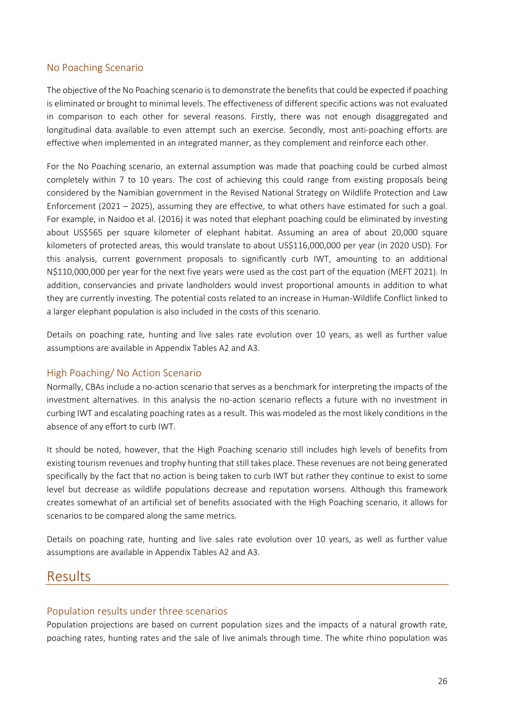### <span id="page-25-0"></span>No Poaching Scenario

The objective of the No Poaching scenario is to demonstrate the benefits that could be expected if poaching is eliminated or brought to minimal levels. The effectiveness of different specific actions was not evaluated in comparison to each other for several reasons. Firstly, there was not enough disaggregated and longitudinal data available to even attempt such an exercise. Secondly, most anti-poaching efforts are effective when implemented in an integrated manner, as they complement and reinforce each other.

For the No Poaching scenario, an external assumption was made that poaching could be curbed almost completely within 7 to 10 years. The cost of achieving this could range from existing proposals being considered by the Namibian government in the Revised National Strategy on Wildlife Protection and Law Enforcement (2021 – 2025), assuming they are effective, to what others have estimated for such a goal. For example, in Naidoo et al. (2016) it was noted that elephant poaching could be eliminated by investing about US\$565 per square kilometer of elephant habitat. Assuming an area of about 20,000 square kilometers of protected areas, this would translate to about US\$116,000,000 per year (in 2020 USD). For this analysis, current government proposals to significantly curb IWT, amounting to an additional N\$110,000,000 per year for the next five years were used as the cost part of the equation (MEFT 2021). In addition, conservancies and private landholders would invest proportional amounts in addition to what they are currently investing. The potential costs related to an increase in Human-Wildlife Conflict linked to a larger elephant population is also included in the costs of this scenario.

Details on poaching rate, hunting and live sales rate evolution over 10 years, as well as further value assumptions are available in Appendix Tables A2 and A3.

#### <span id="page-25-1"></span>High Poaching/ No Action Scenario

Normally, CBAs include a no-action scenario that serves as a benchmark for interpreting the impacts of the investment alternatives. In this analysis the no-action scenario reflects a future with no investment in curbing IWT and escalating poaching rates as a result. This was modeled as the most likely conditions in the absence of any effort to curb IWT.

It should be noted, however, that the High Poaching scenario still includes high levels of benefits from existing tourism revenues and trophy hunting that still takes place. These revenues are not being generated specifically by the fact that no action is being taken to curb IWT but rather they continue to exist to some level but decrease as wildlife populations decrease and reputation worsens. Although this framework creates somewhat of an artificial set of benefits associated with the High Poaching scenario, it allows for scenarios to be compared along the same metrics.

Details on poaching rate, hunting and live sales rate evolution over 10 years, as well as further value assumptions are available in Appendix Tables A2 and A3.

## <span id="page-25-2"></span>Results

#### <span id="page-25-3"></span>Population results under three scenarios

Population projections are based on current population sizes and the impacts of a natural growth rate, poaching rates, hunting rates and the sale of live animals through time. The white rhino population was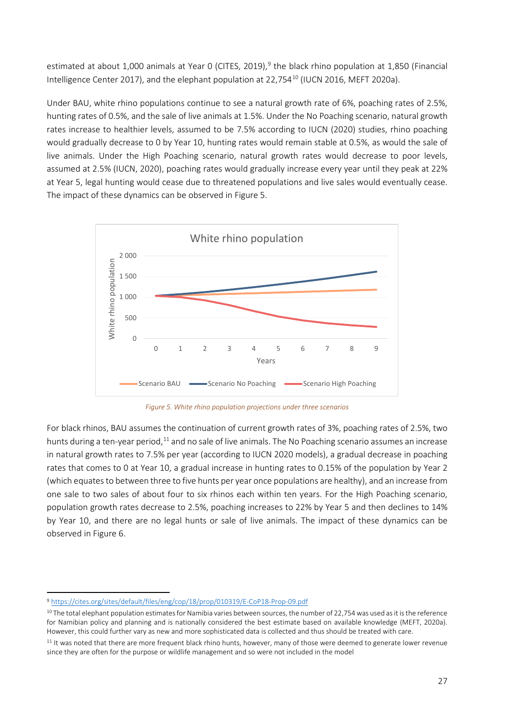estimated at about 1,000 animals at Year 0 (CITES, 2019), [9](#page-26-1) the black rhino population at 1,850 (Financial Intelligence Center 2017), and the elephant population at 22,754<sup>[10](#page-26-2)</sup> (IUCN 2016, MEFT 2020a).

Under BAU, white rhino populations continue to see a natural growth rate of 6%, poaching rates of 2.5%, hunting rates of 0.5%, and the sale of live animals at 1.5%. Under the No Poaching scenario, natural growth rates increase to healthier levels, assumed to be 7.5% according to IUCN (2020) studies, rhino poaching would gradually decrease to 0 by Year 10, hunting rates would remain stable at 0.5%, as would the sale of live animals. Under the High Poaching scenario, natural growth rates would decrease to poor levels, assumed at 2.5% (IUCN, 2020), poaching rates would gradually increase every year until they peak at 22% at Year 5, legal hunting would cease due to threatened populations and live sales would eventually cease. The impact of these dynamics can be observed i[n Figure 5.](#page-26-0)



*Figure 5. White rhino population projections under three scenarios*

<span id="page-26-0"></span>For black rhinos, BAU assumes the continuation of current growth rates of 3%, poaching rates of 2.5%, two hunts during a ten-year period,<sup>[11](#page-26-3)</sup> and no sale of live animals. The No Poaching scenario assumes an increase in natural growth rates to 7.5% per year (according to IUCN 2020 models), a gradual decrease in poaching rates that comes to 0 at Year 10, a gradual increase in hunting rates to 0.15% of the population by Year 2 (which equates to between three to five hunts per year once populations are healthy), and an increase from one sale to two sales of about four to six rhinos each within ten years. For the High Poaching scenario, population growth rates decrease to 2.5%, poaching increases to 22% by Year 5 and then declines to 14% by Year 10, and there are no legal hunts or sale of live animals. The impact of these dynamics can be observed in [Figure 6.](#page-27-0)

<span id="page-26-1"></span><sup>9</sup> <https://cites.org/sites/default/files/eng/cop/18/prop/010319/E-CoP18-Prop-09.pdf>

<span id="page-26-2"></span> $10$  The total elephant population estimates for Namibia varies between sources, the number of 22,754 was used as it is the reference for Namibian policy and planning and is nationally considered the best estimate based on available knowledge (MEFT, 2020a). However, this could further vary as new and more sophisticated data is collected and thus should be treated with care.

<span id="page-26-3"></span><sup>&</sup>lt;sup>11</sup> It was noted that there are more frequent black rhino hunts, however, many of those were deemed to generate lower revenue since they are often for the purpose or wildlife management and so were not included in the model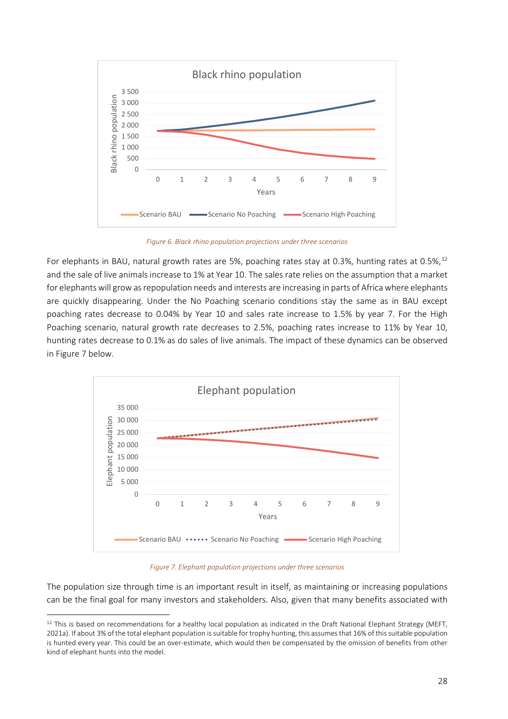

*Figure 6. Black rhino population projections under three scenarios*

<span id="page-27-0"></span>For elephants in BAU, natural growth rates are 5%, poaching rates stay at 0.3%, hunting rates at 0.5%, <sup>[12](#page-27-2)</sup> and the sale of live animals increase to 1% at Year 10. The sales rate relies on the assumption that a market for elephants will grow as repopulation needs and interests are increasing in parts of Africa where elephants are quickly disappearing. Under the No Poaching scenario conditions stay the same as in BAU except poaching rates decrease to 0.04% by Year 10 and sales rate increase to 1.5% by year 7. For the High Poaching scenario, natural growth rate decreases to 2.5%, poaching rates increase to 11% by Year 10, hunting rates decrease to 0.1% as do sales of live animals. The impact of these dynamics can be observed i[n Figure 7](#page-27-1) below.



*Figure 7. Elephant population projections under three scenarios*

<span id="page-27-1"></span>The population size through time is an important result in itself, as maintaining or increasing populations can be the final goal for many investors and stakeholders. Also, given that many benefits associated with

<span id="page-27-2"></span><sup>12</sup> This is based on recommendations for a healthy local population as indicated in the Draft National Elephant Strategy (MEFT, 2021a). If about 3% of the total elephant population issuitable for trophy hunting, this assumes that 16% of this suitable population is hunted every year. This could be an over-estimate, which would then be compensated by the omission of benefits from other kind of elephant hunts into the model.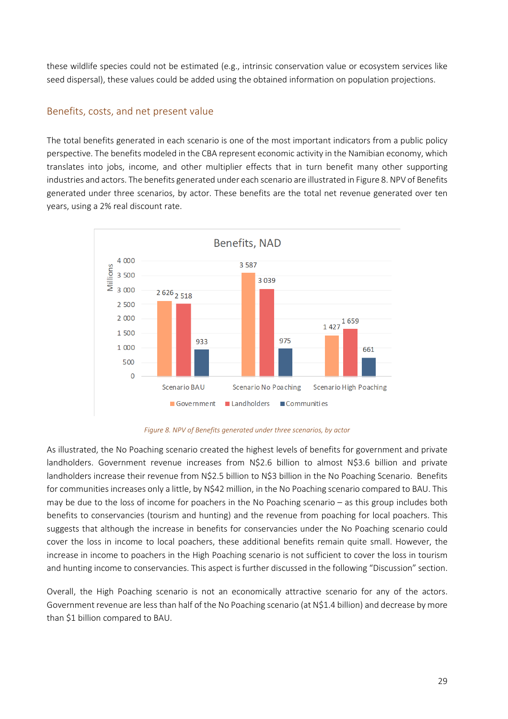these wildlife species could not be estimated (e.g., intrinsic conservation value or ecosystem services like seed dispersal), these values could be added using the obtained information on population projections.

### <span id="page-28-0"></span>Benefits, costs, and net present value

The total benefits generated in each scenario is one of the most important indicators from a public policy perspective. The benefits modeled in the CBA represent economic activity in the Namibian economy, which translates into jobs, income, and other multiplier effects that in turn benefit many other supporting industries and actors. The benefits generated under each scenario are illustrated in Figure 8. [NPV of Benefits](#page-28-1)  [generated under three scenarios, by actor.](#page-28-1) These benefits are the total net revenue generated over ten years, using a 2% real discount rate.



#### *Figure 8. NPV of Benefits generated under three scenarios, by actor*

<span id="page-28-1"></span>As illustrated, the No Poaching scenario created the highest levels of benefits for government and private landholders. Government revenue increases from N\$2.6 billion to almost N\$3.6 billion and private landholders increase their revenue from N\$2.5 billion to N\$3 billion in the No Poaching Scenario. Benefits for communities increases only a little, by N\$42 million, in the No Poaching scenario compared to BAU. This may be due to the loss of income for poachers in the No Poaching scenario – as this group includes both benefits to conservancies (tourism and hunting) and the revenue from poaching for local poachers. This suggests that although the increase in benefits for conservancies under the No Poaching scenario could cover the loss in income to local poachers, these additional benefits remain quite small. However, the increase in income to poachers in the High Poaching scenario is not sufficient to cover the loss in tourism and hunting income to conservancies. This aspect is further discussed in the following "Discussion" section.

Overall, the High Poaching scenario is not an economically attractive scenario for any of the actors. Government revenue are less than half of the No Poaching scenario (at N\$1.4 billion) and decrease by more than \$1 billion compared to BAU.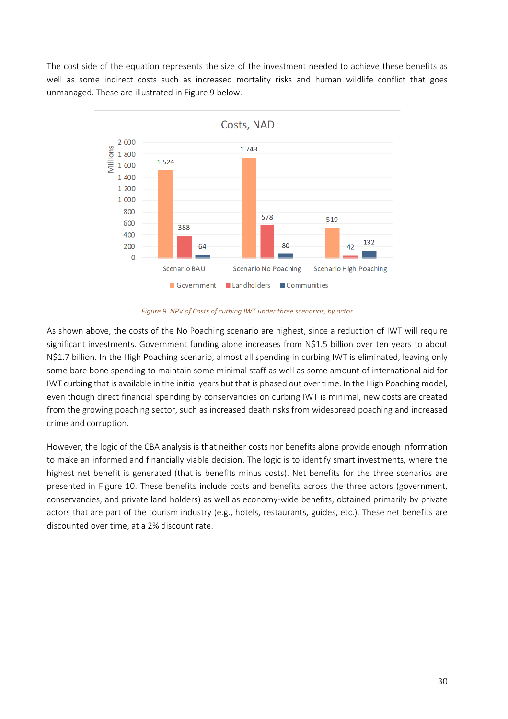The cost side of the equation represents the size of the investment needed to achieve these benefits as well as some indirect costs such as increased mortality risks and human wildlife conflict that goes unmanaged. These are illustrated in [Figure 9](#page-29-0) below.



*Figure 9. NPV of Costs of curbing IWT under three scenarios, by actor*

<span id="page-29-0"></span>As shown above, the costs of the No Poaching scenario are highest, since a reduction of IWT will require significant investments. Government funding alone increases from N\$1.5 billion over ten years to about N\$1.7 billion. In the High Poaching scenario, almost all spending in curbing IWT is eliminated, leaving only some bare bone spending to maintain some minimal staff as well as some amount of international aid for IWT curbing that is available in the initial years but that is phased out over time. In the High Poaching model, even though direct financial spending by conservancies on curbing IWT is minimal, new costs are created from the growing poaching sector, such as increased death risks from widespread poaching and increased crime and corruption.

However, the logic of the CBA analysis is that neither costs nor benefits alone provide enough information to make an informed and financially viable decision. The logic is to identify smart investments, where the highest net benefit is generated (that is benefits minus costs). Net benefits for the three scenarios are presented in [Figure 10.](#page-30-0) These benefits include costs and benefits across the three actors (government, conservancies, and private land holders) as well as economy-wide benefits, obtained primarily by private actors that are part of the tourism industry (e.g., hotels, restaurants, guides, etc.). These net benefits are discounted over time, at a 2% discount rate.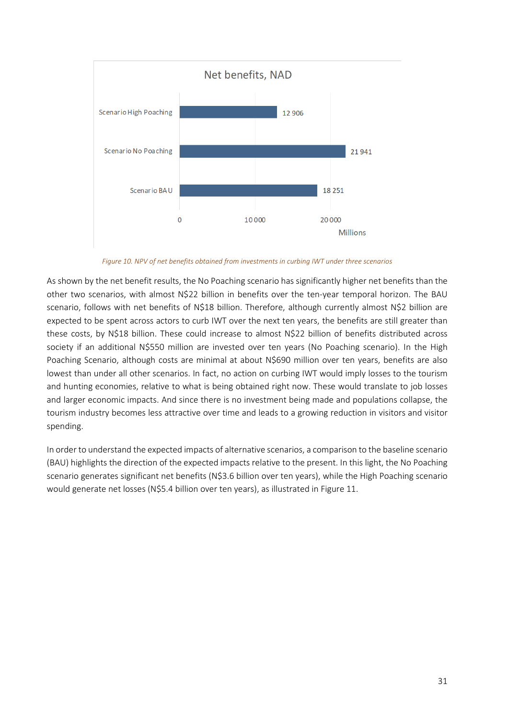

*Figure 10. NPV of net benefits obtained from investments in curbing IWT under three scenarios*

<span id="page-30-0"></span>As shown by the net benefit results, the No Poaching scenario has significantly higher net benefits than the other two scenarios, with almost N\$22 billion in benefits over the ten-year temporal horizon. The BAU scenario, follows with net benefits of N\$18 billion. Therefore, although currently almost N\$2 billion are expected to be spent across actors to curb IWT over the next ten years, the benefits are still greater than these costs, by N\$18 billion. These could increase to almost N\$22 billion of benefits distributed across society if an additional N\$550 million are invested over ten years (No Poaching scenario). In the High Poaching Scenario, although costs are minimal at about N\$690 million over ten years, benefits are also lowest than under all other scenarios. In fact, no action on curbing IWT would imply losses to the tourism and hunting economies, relative to what is being obtained right now. These would translate to job losses and larger economic impacts. And since there is no investment being made and populations collapse, the tourism industry becomes less attractive over time and leads to a growing reduction in visitors and visitor spending.

In order to understand the expected impacts of alternative scenarios, a comparison to the baseline scenario (BAU) highlights the direction of the expected impacts relative to the present. In this light, the No Poaching scenario generates significant net benefits (N\$3.6 billion over ten years), while the High Poaching scenario would generate net losses (N\$5.4 billion over ten years), as illustrated i[n Figure 11.](#page-31-0)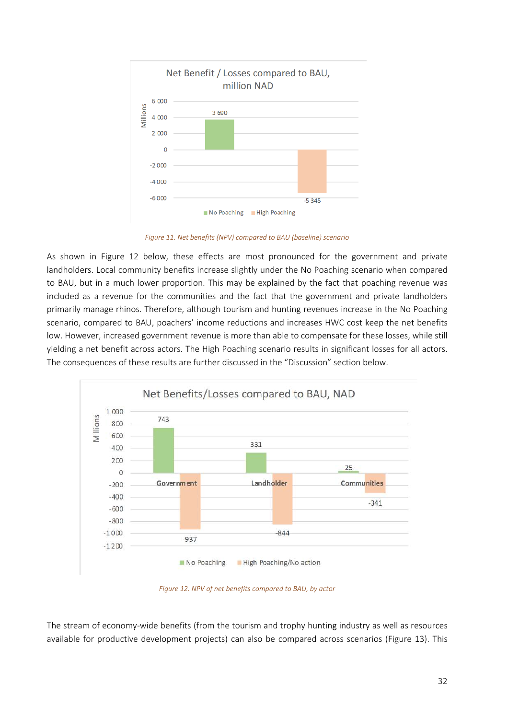

*Figure 11. Net benefits (NPV) compared to BAU (baseline) scenario*

<span id="page-31-0"></span>As shown in [Figure 12](#page-31-1) below, these effects are most pronounced for the government and private landholders. Local community benefits increase slightly under the No Poaching scenario when compared to BAU, but in a much lower proportion. This may be explained by the fact that poaching revenue was included as a revenue for the communities and the fact that the government and private landholders primarily manage rhinos. Therefore, although tourism and hunting revenues increase in the No Poaching scenario, compared to BAU, poachers' income reductions and increases HWC cost keep the net benefits low. However, increased government revenue is more than able to compensate for these losses, while still yielding a net benefit across actors. The High Poaching scenario results in significant losses for all actors. The consequences of these results are further discussed in the "Discussion" section below.



*Figure 12. NPV of net benefits compared to BAU, by actor*

<span id="page-31-1"></span>The stream of economy-wide benefits (from the tourism and trophy hunting industry as well as resources available for productive development projects) can also be compared across scenarios [\(Figure 13\)](#page-32-0). This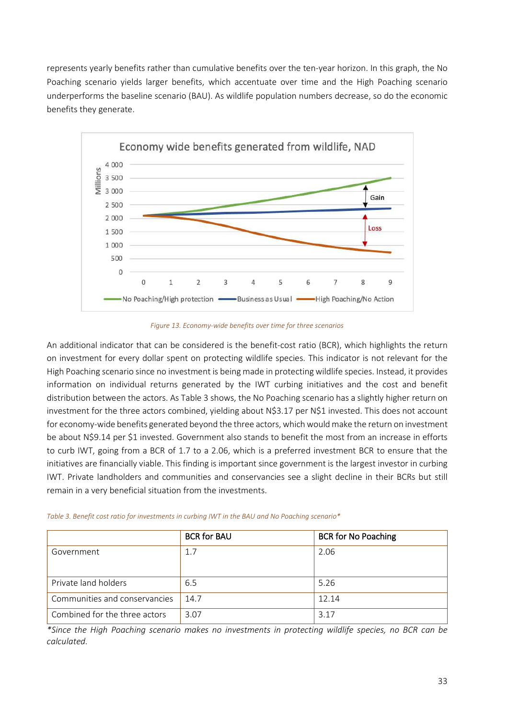represents yearly benefits rather than cumulative benefits over the ten-year horizon. In this graph, the No Poaching scenario yields larger benefits, which accentuate over time and the High Poaching scenario underperforms the baseline scenario (BAU). As wildlife population numbers decrease, so do the economic benefits they generate.



*Figure 13. Economy-wide benefits over time for three scenarios*

<span id="page-32-0"></span>An additional indicator that can be considered is the benefit-cost ratio (BCR), which highlights the return on investment for every dollar spent on protecting wildlife species. This indicator is not relevant for the High Poaching scenario since no investment is being made in protecting wildlife species. Instead, it provides information on individual returns generated by the IWT curbing initiatives and the cost and benefit distribution between the actors. As [Table 3](#page-32-1) shows, the No Poaching scenario has a slightly higher return on investment for the three actors combined, yielding about N\$3.17 per N\$1 invested. This does not account for economy-wide benefits generated beyond the three actors, which would make the return on investment be about N\$9.14 per \$1 invested. Government also stands to benefit the most from an increase in efforts to curb IWT, going from a BCR of 1.7 to a 2.06, which is a preferred investment BCR to ensure that the initiatives are financially viable. This finding is important since government is the largest investor in curbing IWT. Private landholders and communities and conservancies see a slight decline in their BCRs but still remain in a very beneficial situation from the investments.

<span id="page-32-1"></span>

|  |  |  | Table 3. Benefit cost ratio for investments in curbing IWT in the BAU and No Poaching scenario* |  |  |  |  |  |
|--|--|--|-------------------------------------------------------------------------------------------------|--|--|--|--|--|
|--|--|--|-------------------------------------------------------------------------------------------------|--|--|--|--|--|

|                               | <b>BCR for BAU</b> | <b>BCR for No Poaching</b> |
|-------------------------------|--------------------|----------------------------|
| Government                    | 1.7                | 2.06                       |
|                               |                    |                            |
| Private land holders          | 6.5                | 5.26                       |
| Communities and conservancies | 14.7               | 12.14                      |
| Combined for the three actors | 3.07               | 3.17                       |

*\*Since the High Poaching scenario makes no investments in protecting wildlife species, no BCR can be calculated.*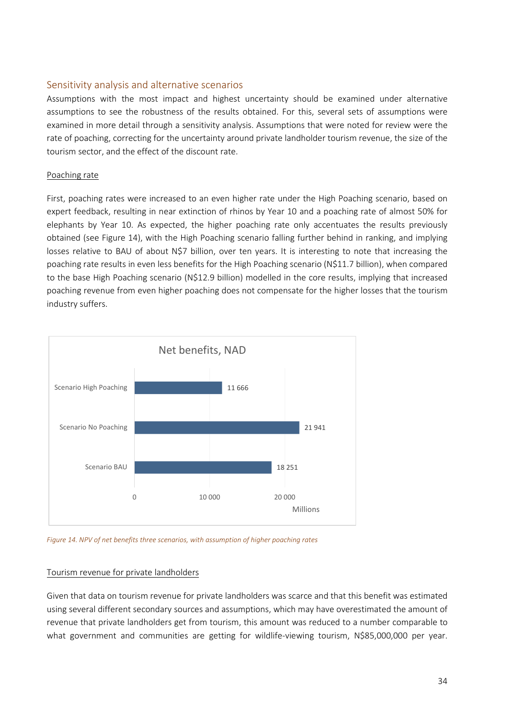### <span id="page-33-0"></span>Sensitivity analysis and alternative scenarios

Assumptions with the most impact and highest uncertainty should be examined under alternative assumptions to see the robustness of the results obtained. For this, several sets of assumptions were examined in more detail through a sensitivity analysis. Assumptions that were noted for review were the rate of poaching, correcting for the uncertainty around private landholder tourism revenue, the size of the tourism sector, and the effect of the discount rate.

#### Poaching rate

First, poaching rates were increased to an even higher rate under the High Poaching scenario, based on expert feedback, resulting in near extinction of rhinos by Year 10 and a poaching rate of almost 50% for elephants by Year 10. As expected, the higher poaching rate only accentuates the results previously obtained (see [Figure 14\)](#page-33-1), with the High Poaching scenario falling further behind in ranking, and implying losses relative to BAU of about N\$7 billion, over ten years. It is interesting to note that increasing the poaching rate results in even less benefits for the High Poaching scenario (N\$11.7 billion), when compared to the base High Poaching scenario (N\$12.9 billion) modelled in the core results, implying that increased poaching revenue from even higher poaching does not compensate for the higher losses that the tourism industry suffers.



<span id="page-33-1"></span>*Figure 14. NPV of net benefits three scenarios, with assumption of higher poaching rates*

#### Tourism revenue for private landholders

Given that data on tourism revenue for private landholders was scarce and that this benefit was estimated using several different secondary sources and assumptions, which may have overestimated the amount of revenue that private landholders get from tourism, this amount was reduced to a number comparable to what government and communities are getting for wildlife-viewing tourism, N\$85,000,000 per year.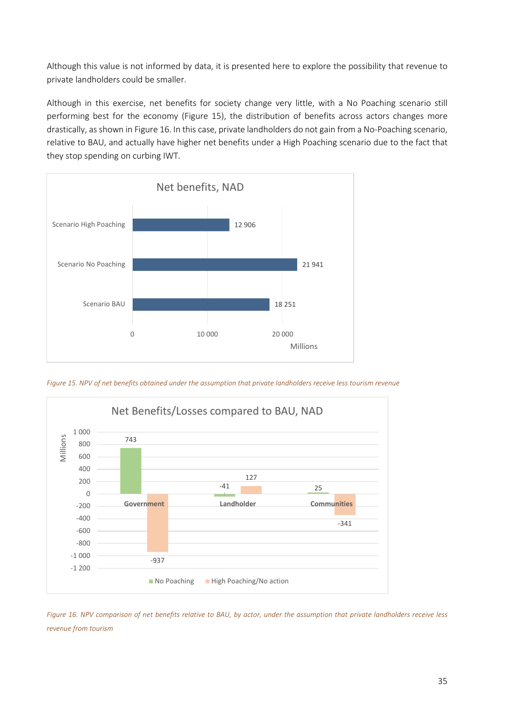Although this value is not informed by data, it is presented here to explore the possibility that revenue to private landholders could be smaller.

Although in this exercise, net benefits for society change very little, with a No Poaching scenario still performing best for the economy [\(Figure 15\)](#page-34-0), the distribution of benefits across actors changes more drastically, as shown i[n Figure 16.](#page-34-1) In this case, private landholders do not gain from a No-Poaching scenario, relative to BAU, and actually have higher net benefits under a High Poaching scenario due to the fact that they stop spending on curbing IWT.



<span id="page-34-0"></span>*Figure 15. NPV of net benefits obtained under the assumption that private landholders receive less tourism revenue*



<span id="page-34-1"></span>*Figure 16. NPV comparison of net benefits relative to BAU, by actor, under the assumption that private landholders receive less revenue from tourism*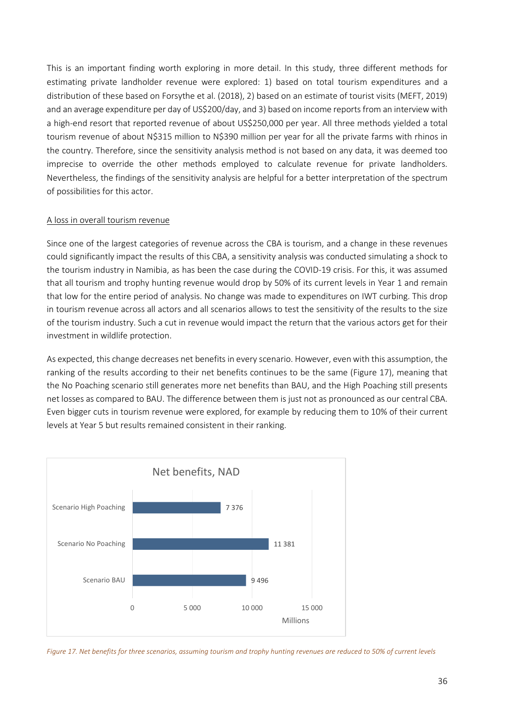This is an important finding worth exploring in more detail. In this study, three different methods for estimating private landholder revenue were explored: 1) based on total tourism expenditures and a distribution of these based on Forsythe et al. (2018), 2) based on an estimate of tourist visits (MEFT, 2019) and an average expenditure per day of US\$200/day, and 3) based on income reports from an interview with a high-end resort that reported revenue of about US\$250,000 per year. All three methods yielded a total tourism revenue of about N\$315 million to N\$390 million per year for all the private farms with rhinos in the country. Therefore, since the sensitivity analysis method is not based on any data, it was deemed too imprecise to override the other methods employed to calculate revenue for private landholders. Nevertheless, the findings of the sensitivity analysis are helpful for a better interpretation of the spectrum of possibilities for this actor.

#### A loss in overall tourism revenue

Since one of the largest categories of revenue across the CBA is tourism, and a change in these revenues could significantly impact the results of this CBA, a sensitivity analysis was conducted simulating a shock to the tourism industry in Namibia, as has been the case during the COVID-19 crisis. For this, it was assumed that all tourism and trophy hunting revenue would drop by 50% of its current levels in Year 1 and remain that low for the entire period of analysis. No change was made to expenditures on IWT curbing. This drop in tourism revenue across all actors and all scenarios allows to test the sensitivity of the results to the size of the tourism industry. Such a cut in revenue would impact the return that the various actors get for their investment in wildlife protection.

As expected, this change decreases net benefits in every scenario. However, even with this assumption, the ranking of the results according to their net benefits continues to be the same [\(Figure 17\)](#page-35-0), meaning that the No Poaching scenario still generates more net benefits than BAU, and the High Poaching still presents net losses as compared to BAU. The difference between them is just not as pronounced as our central CBA. Even bigger cuts in tourism revenue were explored, for example by reducing them to 10% of their current levels at Year 5 but results remained consistent in their ranking.



<span id="page-35-0"></span>*Figure 17. Net benefits for three scenarios, assuming tourism and trophy hunting revenues are reduced to 50% of current levels*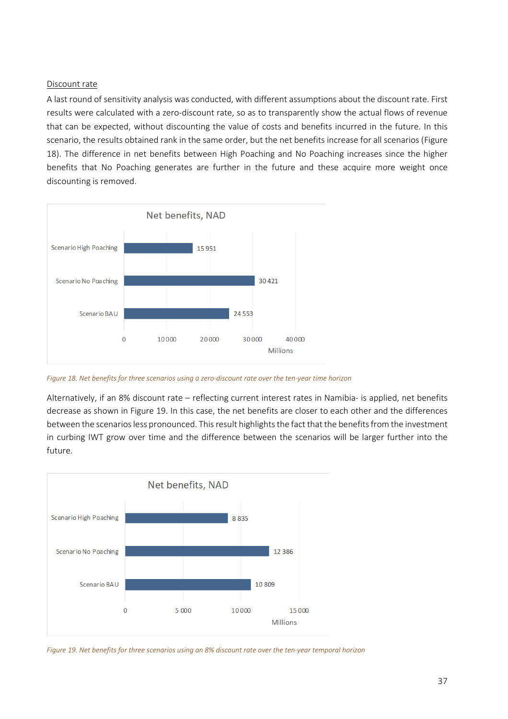#### Discount rate

A last round of sensitivity analysis was conducted, with different assumptions about the discount rate. First results were calculated with a zero-discount rate, so as to transparently show the actual flows of revenue that can be expected, without discounting the value of costs and benefits incurred in the future. In this scenario, the results obtained rank in the same order, but the net benefits increase for all scenarios [\(Figure](#page-36-0)  [18\)](#page-36-0). The difference in net benefits between High Poaching and No Poaching increases since the higher benefits that No Poaching generates are further in the future and these acquire more weight once discounting is removed.



<span id="page-36-0"></span>*Figure 18. Net benefits for three scenarios using a zero-discount rate over the ten-year time horizon*

Alternatively, if an 8% discount rate – reflecting current interest rates in Namibia- is applied, net benefits decrease as shown i[n Figure 19.](#page-36-1) In this case, the net benefits are closer to each other and the differences between the scenarios less pronounced. This result highlights the fact that the benefits from the investment in curbing IWT grow over time and the difference between the scenarios will be larger further into the future.



<span id="page-36-1"></span>*Figure 19. Net benefits for three scenarios using an 8% discount rate over the ten-year temporal horizon*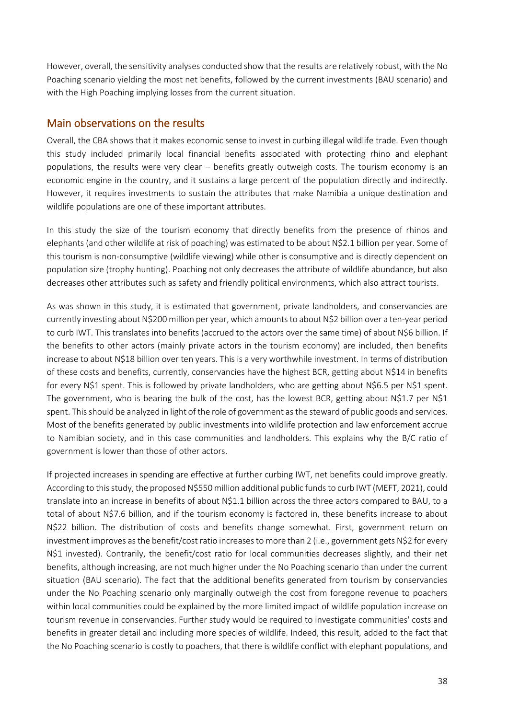However, overall, the sensitivity analyses conducted show that the results are relatively robust, with the No Poaching scenario yielding the most net benefits, followed by the current investments (BAU scenario) and with the High Poaching implying losses from the current situation.

### <span id="page-37-0"></span>Main observations on the results

Overall, the CBA shows that it makes economic sense to invest in curbing illegal wildlife trade. Even though this study included primarily local financial benefits associated with protecting rhino and elephant populations, the results were very clear – benefits greatly outweigh costs. The tourism economy is an economic engine in the country, and it sustains a large percent of the population directly and indirectly. However, it requires investments to sustain the attributes that make Namibia a unique destination and wildlife populations are one of these important attributes.

In this study the size of the tourism economy that directly benefits from the presence of rhinos and elephants (and other wildlife at risk of poaching) was estimated to be about N\$2.1 billion per year. Some of this tourism is non-consumptive (wildlife viewing) while other is consumptive and is directly dependent on population size (trophy hunting). Poaching not only decreases the attribute of wildlife abundance, but also decreases other attributes such as safety and friendly political environments, which also attract tourists.

As was shown in this study, it is estimated that government, private landholders, and conservancies are currently investing about N\$200 million per year, which amounts to about N\$2 billion over a ten-year period to curb IWT. This translates into benefits (accrued to the actors over the same time) of about N\$6 billion. If the benefits to other actors (mainly private actors in the tourism economy) are included, then benefits increase to about N\$18 billion over ten years. This is a very worthwhile investment. In terms of distribution of these costs and benefits, currently, conservancies have the highest BCR, getting about N\$14 in benefits for every N\$1 spent. This is followed by private landholders, who are getting about N\$6.5 per N\$1 spent. The government, who is bearing the bulk of the cost, has the lowest BCR, getting about N\$1.7 per N\$1 spent. This should be analyzed in light of the role of government as the steward of public goods and services. Most of the benefits generated by public investments into wildlife protection and law enforcement accrue to Namibian society, and in this case communities and landholders. This explains why the B/C ratio of government is lower than those of other actors.

If projected increases in spending are effective at further curbing IWT, net benefits could improve greatly. According to this study, the proposed N\$550 million additional public funds to curb IWT (MEFT, 2021), could translate into an increase in benefits of about N\$1.1 billion across the three actors compared to BAU, to a total of about N\$7.6 billion, and if the tourism economy is factored in, these benefits increase to about N\$22 billion. The distribution of costs and benefits change somewhat. First, government return on investment improves as the benefit/cost ratio increases to more than 2 (i.e., government gets N\$2 for every N\$1 invested). Contrarily, the benefit/cost ratio for local communities decreases slightly, and their net benefits, although increasing, are not much higher under the No Poaching scenario than under the current situation (BAU scenario). The fact that the additional benefits generated from tourism by conservancies under the No Poaching scenario only marginally outweigh the cost from foregone revenue to poachers within local communities could be explained by the more limited impact of wildlife population increase on tourism revenue in conservancies. Further study would be required to investigate communities' costs and benefits in greater detail and including more species of wildlife. Indeed, this result, added to the fact that the No Poaching scenario is costly to poachers, that there is wildlife conflict with elephant populations, and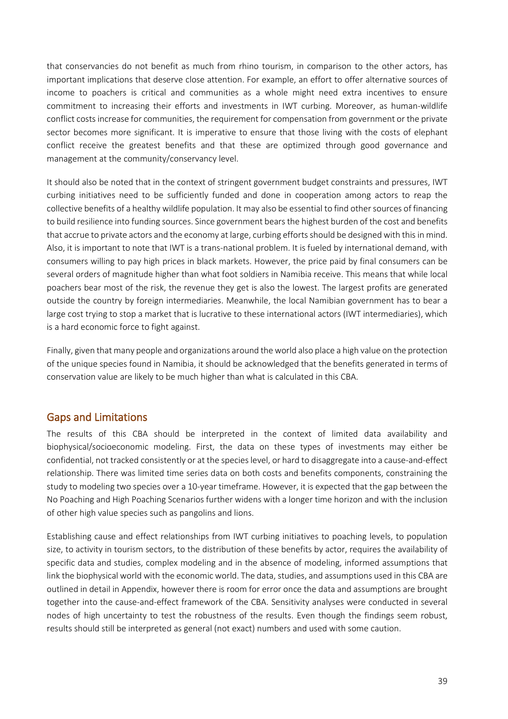that conservancies do not benefit as much from rhino tourism, in comparison to the other actors, has important implications that deserve close attention. For example, an effort to offer alternative sources of income to poachers is critical and communities as a whole might need extra incentives to ensure commitment to increasing their efforts and investments in IWT curbing. Moreover, as human-wildlife conflict costs increase for communities, the requirement for compensation from government or the private sector becomes more significant. It is imperative to ensure that those living with the costs of elephant conflict receive the greatest benefits and that these are optimized through good governance and management at the community/conservancy level.

It should also be noted that in the context of stringent government budget constraints and pressures, IWT curbing initiatives need to be sufficiently funded and done in cooperation among actors to reap the collective benefits of a healthy wildlife population. It may also be essential to find other sources of financing to build resilience into funding sources. Since government bears the highest burden of the cost and benefits that accrue to private actors and the economy at large, curbing efforts should be designed with this in mind. Also, it is important to note that IWT is a trans-national problem. It is fueled by international demand, with consumers willing to pay high prices in black markets. However, the price paid by final consumers can be several orders of magnitude higher than what foot soldiers in Namibia receive. This means that while local poachers bear most of the risk, the revenue they get is also the lowest. The largest profits are generated outside the country by foreign intermediaries. Meanwhile, the local Namibian government has to bear a large cost trying to stop a market that is lucrative to these international actors (IWT intermediaries), which is a hard economic force to fight against.

Finally, given that many people and organizations around the world also place a high value on the protection of the unique species found in Namibia, it should be acknowledged that the benefits generated in terms of conservation value are likely to be much higher than what is calculated in this CBA.

### <span id="page-38-0"></span>Gaps and Limitations

The results of this CBA should be interpreted in the context of limited data availability and biophysical/socioeconomic modeling. First, the data on these types of investments may either be confidential, not tracked consistently or at the species level, or hard to disaggregate into a cause-and-effect relationship. There was limited time series data on both costs and benefits components, constraining the study to modeling two species over a 10-year timeframe. However, it is expected that the gap between the No Poaching and High Poaching Scenarios further widens with a longer time horizon and with the inclusion of other high value species such as pangolins and lions.

Establishing cause and effect relationships from IWT curbing initiatives to poaching levels, to population size, to activity in tourism sectors, to the distribution of these benefits by actor, requires the availability of specific data and studies, complex modeling and in the absence of modeling, informed assumptions that link the biophysical world with the economic world. The data, studies, and assumptions used in this CBA are outlined in detail in Appendix, however there is room for error once the data and assumptions are brought together into the cause-and-effect framework of the CBA. Sensitivity analyses were conducted in several nodes of high uncertainty to test the robustness of the results. Even though the findings seem robust, results should still be interpreted as general (not exact) numbers and used with some caution.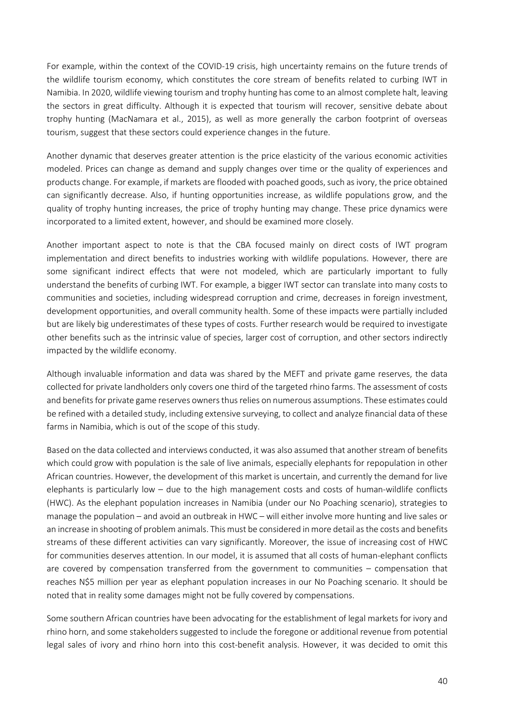For example, within the context of the COVID-19 crisis, high uncertainty remains on the future trends of the wildlife tourism economy, which constitutes the core stream of benefits related to curbing IWT in Namibia. In 2020, wildlife viewing tourism and trophy hunting has come to an almost complete halt, leaving the sectors in great difficulty. Although it is expected that tourism will recover, sensitive debate about trophy hunting (MacNamara et al., 2015), as well as more generally the carbon footprint of overseas tourism, suggest that these sectors could experience changes in the future.

Another dynamic that deserves greater attention is the price elasticity of the various economic activities modeled. Prices can change as demand and supply changes over time or the quality of experiences and products change. For example, if markets are flooded with poached goods, such as ivory, the price obtained can significantly decrease. Also, if hunting opportunities increase, as wildlife populations grow, and the quality of trophy hunting increases, the price of trophy hunting may change. These price dynamics were incorporated to a limited extent, however, and should be examined more closely.

Another important aspect to note is that the CBA focused mainly on direct costs of IWT program implementation and direct benefits to industries working with wildlife populations. However, there are some significant indirect effects that were not modeled, which are particularly important to fully understand the benefits of curbing IWT. For example, a bigger IWT sector can translate into many costs to communities and societies, including widespread corruption and crime, decreases in foreign investment, development opportunities, and overall community health. Some of these impacts were partially included but are likely big underestimates of these types of costs. Further research would be required to investigate other benefits such as the intrinsic value of species, larger cost of corruption, and other sectors indirectly impacted by the wildlife economy.

Although invaluable information and data was shared by the MEFT and private game reserves, the data collected for private landholders only covers one third of the targeted rhino farms. The assessment of costs and benefits for private game reserves owners thus relies on numerous assumptions. These estimates could be refined with a detailed study, including extensive surveying, to collect and analyze financial data of these farms in Namibia, which is out of the scope of this study.

Based on the data collected and interviews conducted, it was also assumed that another stream of benefits which could grow with population is the sale of live animals, especially elephants for repopulation in other African countries. However, the development of this market is uncertain, and currently the demand for live elephants is particularly low – due to the high management costs and costs of human-wildlife conflicts (HWC). As the elephant population increases in Namibia (under our No Poaching scenario), strategies to manage the population – and avoid an outbreak in HWC – will either involve more hunting and live sales or an increase in shooting of problem animals. This must be considered in more detail as the costs and benefits streams of these different activities can vary significantly. Moreover, the issue of increasing cost of HWC for communities deserves attention. In our model, it is assumed that all costs of human-elephant conflicts are covered by compensation transferred from the government to communities – compensation that reaches N\$5 million per year as elephant population increases in our No Poaching scenario. It should be noted that in reality some damages might not be fully covered by compensations.

Some southern African countries have been advocating for the establishment of legal markets for ivory and rhino horn, and some stakeholders suggested to include the foregone or additional revenue from potential legal sales of ivory and rhino horn into this cost-benefit analysis. However, it was decided to omit this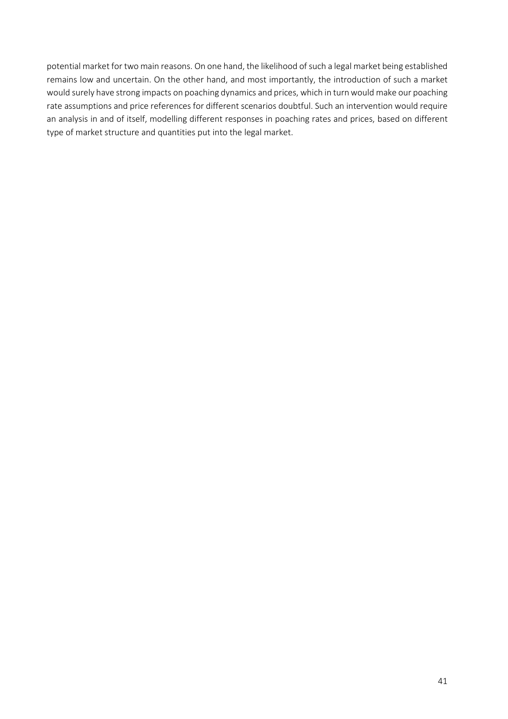potential market for two main reasons. On one hand, the likelihood of such a legal market being established remains low and uncertain. On the other hand, and most importantly, the introduction of such a market would surely have strong impacts on poaching dynamics and prices, which in turn would make our poaching rate assumptions and price references for different scenarios doubtful. Such an intervention would require an analysis in and of itself, modelling different responses in poaching rates and prices, based on different type of market structure and quantities put into the legal market.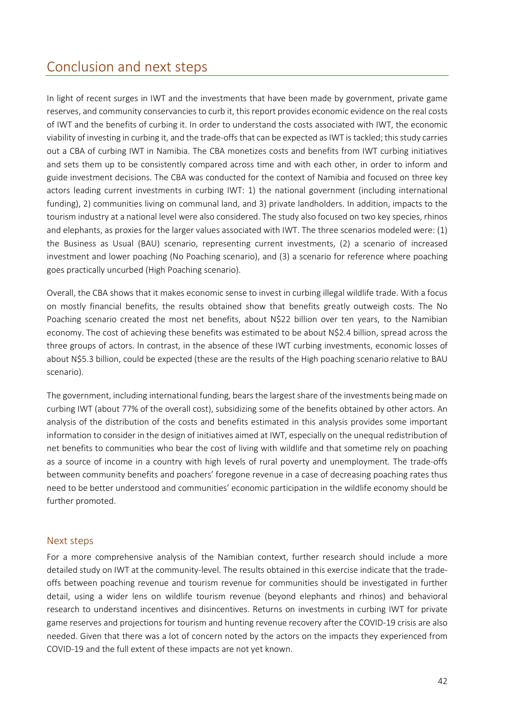## <span id="page-41-0"></span>Conclusion and next steps

In light of recent surges in IWT and the investments that have been made by government, private game reserves, and community conservancies to curb it, this report provides economic evidence on the real costs of IWT and the benefits of curbing it. In order to understand the costs associated with IWT, the economic viability of investing in curbing it, and the trade-offs that can be expected as IWT is tackled; this study carries out a CBA of curbing IWT in Namibia. The CBA monetizes costs and benefits from IWT curbing initiatives and sets them up to be consistently compared across time and with each other, in order to inform and guide investment decisions. The CBA was conducted for the context of Namibia and focused on three key actors leading current investments in curbing IWT: 1) the national government (including international funding), 2) communities living on communal land, and 3) private landholders. In addition, impacts to the tourism industry at a national level were also considered. The study also focused on two key species, rhinos and elephants, as proxies for the larger values associated with IWT. The three scenarios modeled were: (1) the Business as Usual (BAU) scenario, representing current investments, (2) a scenario of increased investment and lower poaching (No Poaching scenario), and (3) a scenario for reference where poaching goes practically uncurbed (High Poaching scenario).

Overall, the CBA shows that it makes economic sense to invest in curbing illegal wildlife trade. With a focus on mostly financial benefits, the results obtained show that benefits greatly outweigh costs. The No Poaching scenario created the most net benefits, about N\$22 billion over ten years, to the Namibian economy. The cost of achieving these benefits was estimated to be about N\$2.4 billion, spread across the three groups of actors. In contrast, in the absence of these IWT curbing investments, economic losses of about N\$5.3 billion, could be expected (these are the results of the High poaching scenario relative to BAU scenario).

The government, including international funding, bears the largest share of the investments being made on curbing IWT (about 77% of the overall cost), subsidizing some of the benefits obtained by other actors. An analysis of the distribution of the costs and benefits estimated in this analysis provides some important information to consider in the design of initiatives aimed at IWT, especially on the unequal redistribution of net benefits to communities who bear the cost of living with wildlife and that sometime rely on poaching as a source of income in a country with high levels of rural poverty and unemployment. The trade-offs between community benefits and poachers' foregone revenue in a case of decreasing poaching rates thus need to be better understood and communities' economic participation in the wildlife economy should be further promoted.

#### <span id="page-41-1"></span>Next steps

For a more comprehensive analysis of the Namibian context, further research should include a more detailed study on IWT at the community-level. The results obtained in this exercise indicate that the tradeoffs between poaching revenue and tourism revenue for communities should be investigated in further detail, using a wider lens on wildlife tourism revenue (beyond elephants and rhinos) and behavioral research to understand incentives and disincentives. Returns on investments in curbing IWT for private game reserves and projections for tourism and hunting revenue recovery after the COVID-19 crisis are also needed. Given that there was a lot of concern noted by the actors on the impacts they experienced from COVID-19 and the full extent of these impacts are not yet known.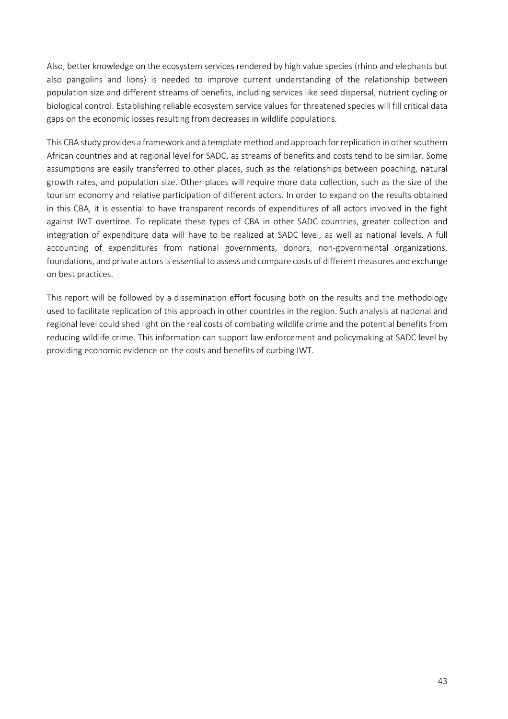Also, better knowledge on the ecosystem services rendered by high value species (rhino and elephants but also pangolins and lions) is needed to improve current understanding of the relationship between population size and different streams of benefits, including services like seed dispersal, nutrient cycling or biological control. Establishing reliable ecosystem service values for threatened species will fill critical data gaps on the economic losses resulting from decreases in wildlife populations.

This CBA study provides a framework and a template method and approach for replication in other southern African countries and at regional level for SADC, as streams of benefits and costs tend to be similar. Some assumptions are easily transferred to other places, such as the relationships between poaching, natural growth rates, and population size. Other places will require more data collection, such as the size of the tourism economy and relative participation of different actors. In order to expand on the results obtained in this CBA, it is essential to have transparent records of expenditures of all actors involved in the fight against IWT overtime. To replicate these types of CBA in other SADC countries, greater collection and integration of expenditure data will have to be realized at SADC level, as well as national levels. A full accounting of expenditures from national governments, donors, non-governmental organizations, foundations, and private actors is essential to assess and compare costs of different measures and exchange on best practices.

This report will be followed by a dissemination effort focusing both on the results and the methodology used to facilitate replication of this approach in other countries in the region. Such analysis at national and regional level could shed light on the real costs of combating wildlife crime and the potential benefits from reducing wildlife crime. This information can support law enforcement and policymaking at SADC level by providing economic evidence on the costs and benefits of curbing IWT.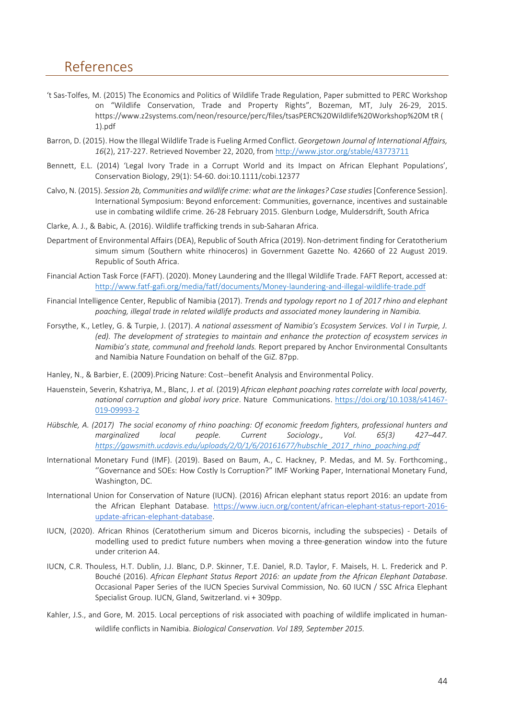## <span id="page-43-0"></span>References

- 't Sas-Tolfes, M. (2015) The Economics and Politics of Wildlife Trade Regulation, Paper submitted to PERC Workshop on "Wildlife Conservation, Trade and Property Rights", Bozeman, MT, July 26-29, 2015. https://www.z2systems.com/neon/resource/perc/files/tsasPERC%20Wildlife%20Workshop%20M tR ( 1).pdf
- Barron, D. (2015). How the Illegal Wildlife Trade is Fueling Armed Conflict. *Georgetown Journal of International Affairs, 16*(2), 217-227. Retrieved November 22, 2020, from<http://www.jstor.org/stable/43773711>
- Bennett, E.L. (2014) 'Legal Ivory Trade in a Corrupt World and its Impact on African Elephant Populations', Conservation Biology, 29(1): 54-60. doi:10.1111/cobi.12377
- Calvo, N. (2015). *Session 2b, Communities and wildlife crime: what are the linkages? Case studies* [Conference Session]. International Symposium: Beyond enforcement: Communities, governance, incentives and sustainable use in combating wildlife crime. 26-28 February 2015. Glenburn Lodge, Muldersdrift, South Africa
- Clarke, A. J., & Babic, A. (2016). Wildlife trafficking trends in sub-Saharan Africa.
- Department of Environmental Affairs (DEA), Republic of South Africa (2019). Non-detriment finding for Ceratotherium simum simum (Southern white rhinoceros) in Government Gazette No. 42660 of 22 August 2019. Republic of South Africa.
- Financial Action Task Force (FAFT). (2020). Money Laundering and the Illegal Wildlife Trade. FAFT Report, accessed at: <http://www.fatf-gafi.org/media/fatf/documents/Money-laundering-and-illegal-wildlife-trade.pdf>
- Financial Intelligence Center, Republic of Namibia (2017). *Trends and typology report no 1 of 2017 rhino and elephant poaching, illegal trade in related wildlife products and associated money laundering in Namibia.*
- Forsythe, K., Letley, G. & Turpie, J. (2017). *A national assessment of Namibia's Ecosystem Services. Vol I in Turpie, J. (ed). The development of strategies to maintain and enhance the protection of ecosystem services in Namibia's state, communal and freehold lands.* Report prepared by Anchor Environmental Consultants and Namibia Nature Foundation on behalf of the GiZ. 87pp.
- Hanley, N., & Barbier, E. (2009).Pricing Nature: Cost--benefit Analysis and Environmental Policy.
- Hauenstein, Severin, Kshatriya, M., Blanc, J. *et al.* (2019) *African elephant poaching rates correlate with local poverty, national corruption and global ivory price*. Nature Communications. [https://doi.org/10.1038/s41467-](https://doi.org/10.1038/s41467-019-09993-2) [019-09993-2](https://doi.org/10.1038/s41467-019-09993-2)
- *Hübschle, A. (2017) The social economy of rhino poaching: Of economic freedom fighters, professional hunters and marginalized local people. Current Sociology., Vol. 65(3) 427–447. [https://gawsmith.ucdavis.edu/uploads/2/0/1/6/20161677/hubschle\\_2017\\_rhino\\_poaching.pdf](https://gawsmith.ucdavis.edu/uploads/2/0/1/6/20161677/hubschle_2017_rhino_poaching.pdf)*
- International Monetary Fund (IMF). (2019). Based on Baum, A., C. Hackney, P. Medas, and M. Sy. Forthcoming., ''Governance and SOEs: How Costly Is Corruption?" IMF Working Paper, International Monetary Fund, Washington, DC.
- International Union for Conservation of Nature (IUCN). (2016) African elephant status report 2016: an update from the African Elephant Database. [https://www.iucn.org/content/african-elephant-status-report-2016](https://www.iucn.org/content/african-elephant-status-report-2016-update-african-elephant-database) [update-african-elephant-database.](https://www.iucn.org/content/african-elephant-status-report-2016-update-african-elephant-database)
- IUCN, (2020). African Rhinos (Ceratotherium simum and Diceros bicornis, including the subspecies) Details of modelling used to predict future numbers when moving a three-generation window into the future under criterion A4.
- IUCN, C.R. Thouless, H.T. Dublin, J.J. Blanc, D.P. Skinner, T.E. Daniel, R.D. Taylor, F. Maisels, H. L. Frederick and P. Bouché (2016). *African Elephant Status Report 2016: an update from the African Elephant Database*. Occasional Paper Series of the IUCN Species Survival Commission, No. 60 IUCN / SSC Africa Elephant Specialist Group. IUCN, Gland, Switzerland. vi + 309pp.
- Kahler, J.S., and Gore, M. 2015. Local perceptions of risk associated with poaching of wildlife implicated in humanwildlife conflicts in Namibia. *Biological Conservation. Vol 189, September 2015.*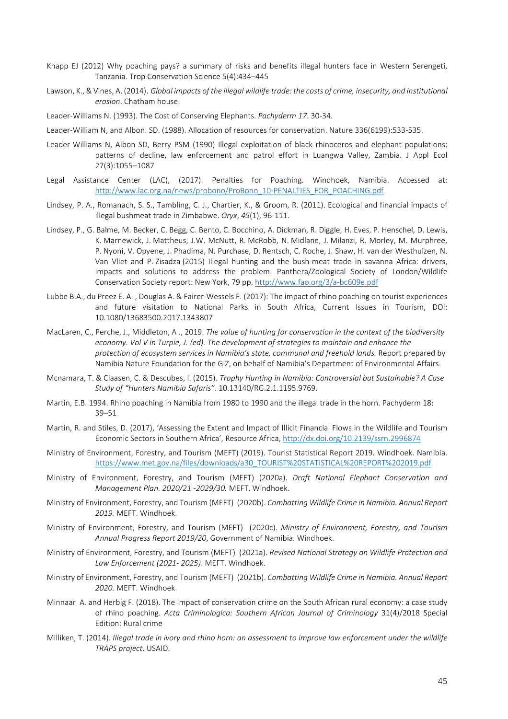- Knapp EJ (2012) Why poaching pays? a summary of risks and benefits illegal hunters face in Western Serengeti, Tanzania. Trop Conservation Science 5(4):434–445
- Lawson, K., & Vines, A. (2014). *Global impacts of the illegal wildlife trade: the costs of crime, insecurity, and institutional erosion*. Chatham house.

Leader-Williams N. (1993). The Cost of Conserving Elephants. *Pachyderm 17*. 30-34.

- Leader-William N, and Albon. SD. (1988). Allocation of resources for conservation. Nature 336(6199):533-535.
- Leader-Williams N, Albon SD, Berry PSM (1990) Illegal exploitation of black rhinoceros and elephant populations: patterns of decline, law enforcement and patrol effort in Luangwa Valley, Zambia. J Appl Ecol 27(3):1055–1087
- Legal Assistance Center (LAC), (2017). Penalties for Poaching. Windhoek, Namibia. Accessed at: [http://www.lac.org.na/news/probono/ProBono\\_10-PENALTIES\\_FOR\\_POACHING.pdf](http://www.lac.org.na/news/probono/ProBono_10-PENALTIES_FOR_POACHING.pdf)
- Lindsey, P. A., Romanach, S. S., Tambling, C. J., Chartier, K., & Groom, R. (2011). Ecological and financial impacts of illegal bushmeat trade in Zimbabwe. *Oryx*, *45*(1), 96-111.
- Lindsey, P., G. Balme, M. Becker, C. Begg, C. Bento, C. Bocchino, A. Dickman, R. Diggle, H. Eves, P. Henschel, D. Lewis, K. Marnewick, J. Mattheus, J.W. McNutt, R. McRobb, N. Midlane, J. Milanzi, R. Morley, M. Murphree, P. Nyoni, V. Opyene, J. Phadima, N. Purchase, D. Rentsch, C. Roche, J. Shaw, H. van der Westhuizen, N. Van Vliet and P. Zisadza (2015) Illegal hunting and the bush-meat trade in savanna Africa: drivers, impacts and solutions to address the problem. Panthera/Zoological Society of London/Wildlife Conservation Society report: New York, 79 pp. <http://www.fao.org/3/a-bc609e.pdf>
- Lubbe B.A., du Preez E. A. , Douglas A. & Fairer-Wessels F. (2017): The impact of rhino poaching on tourist experiences and future visitation to National Parks in South Africa, Current Issues in Tourism, DOI: 10.1080/13683500.2017.1343807
- MacLaren, C., Perche, J., Middleton, A ., 2019. *The value of hunting for conservation in the context of the biodiversity economy. Vol V in Turpie, J. (ed). The development of strategies to maintain and enhance the protection of ecosystem services in Namibia's state, communal and freehold lands.* Report prepared by Namibia Nature Foundation for the GiZ, on behalf of Namibia's Department of Environmental Affairs.
- Mcnamara, T. & Claasen, C. & Descubes, I. (2015). *Trophy Hunting in Namibia: Controversial but Sustainable? A Case Study of "Hunters Namibia Safaris"*. 10.13140/RG.2.1.1195.9769.
- Martin, E.B. 1994. Rhino poaching in Namibia from 1980 to 1990 and the illegal trade in the horn. Pachyderm 18: 39–51
- Martin, R. and Stiles, D. (2017), 'Assessing the Extent and Impact of Illicit Financial Flows in the Wildlife and Tourism Economic Sectors in Southern Africa', Resource Africa[, http://dx.doi.org/10.2139/ssrn.2996874](http://dx.doi.org/10.2139/ssrn.2996874)
- Ministry of Environment, Forestry, and Tourism (MEFT) (2019). Tourist Statistical Report 2019. Windhoek. Namibia. [https://www.met.gov.na/files/downloads/a30\\_TOURIST%20STATISTICAL%20REPORT%202019.pdf](https://www.met.gov.na/files/downloads/a30_TOURIST%20STATISTICAL%20REPORT%202019.pdf)
- Ministry of Environment, Forestry, and Tourism (MEFT) (2020a). *Draft National Elephant Conservation and Management Plan. 2020/21 -2029/30.* MEFT. Windhoek.
- Ministry of Environment, Forestry, and Tourism (MEFT) (2020b). *Combatting Wildlife Crime in Namibia. Annual Report 2019.* MEFT. Windhoek.
- Ministry of Environment, Forestry, and Tourism (MEFT) (2020c). *Ministry of Environment, Forestry, and Tourism Annual Progress Report 2019/20*, Government of Namibia. Windhoek.
- Ministry of Environment, Forestry, and Tourism (MEFT) (2021a). *Revised National Strategy on Wildlife Protection and Law Enforcement (2021- 2025)*. MEFT. Windhoek.
- Ministry of Environment, Forestry, and Tourism (MEFT) (2021b). *Combatting Wildlife Crime in Namibia. Annual Report 2020.* MEFT. Windhoek.
- Minnaar A. and Herbig F. (2018). The impact of conservation crime on the South African rural economy: a case study of rhino poaching. *Acta Criminologica: Southern African Journal of Criminology* 31(4)/2018 Special Edition: Rural crime
- Milliken, T. (2014). *Illegal trade in ivory and rhino horn: an assessment to improve law enforcement under the wildlife TRAPS project*. USAID.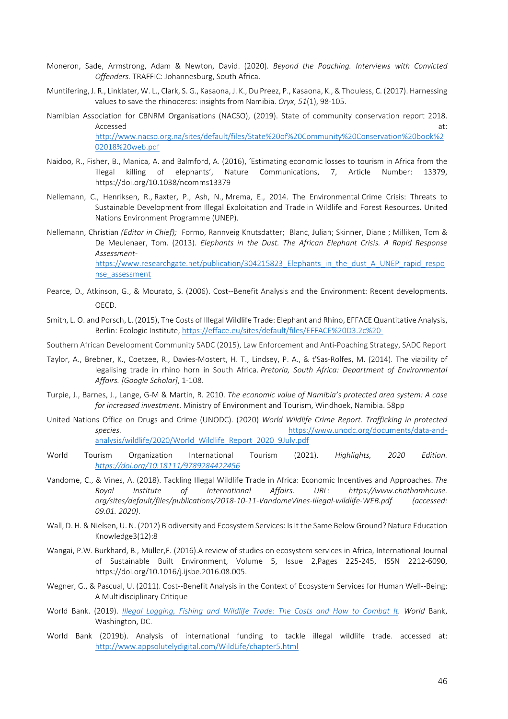- Moneron, Sade, Armstrong, Adam & Newton, David. (2020). *Beyond the Poaching. Interviews with Convicted Offenders.* TRAFFIC: Johannesburg, South Africa.
- Muntifering, J. R., Linklater, W. L., Clark, S. G., Kasaona, J. K., Du Preez, P., Kasaona, K., & Thouless, C. (2017). Harnessing values to save the rhinoceros: insights from Namibia. *Oryx*, *51*(1), 98-105.
- Namibian Association for CBNRM Organisations (NACSO), (2019). State of community conservation report 2018. Accessed at: the contract of the contract of the contract of the contract of the contract of the contract of the contract of the contract of the contract of the contract of the contract of the contract of the contract of t [http://www.nacso.org.na/sites/default/files/State%20of%20Community%20Conservation%20book%2](http://www.nacso.org.na/sites/default/files/State%20of%20Community%20Conservation%20book%202018%20web.pdf) [02018%20web.pdf](http://www.nacso.org.na/sites/default/files/State%20of%20Community%20Conservation%20book%202018%20web.pdf)
- Naidoo, R., Fisher, B., Manica, A. and Balmford, A. (2016), 'Estimating economic losses to tourism in Africa from the illegal killing of elephants', Nature Communications, 7, Article Number: 13379, https://doi.org/10.1038/ncomms13379
- Nellemann, C., Henriksen, R., Raxter, P., Ash, N., Mrema, E., 2014. The Environmental Crime Crisis: Threats to Sustainable Development from Illegal Exploitation and Trade in Wildlife and Forest Resources. United Nations Environment Programme (UNEP).
- Nellemann, Christian *(Editor in Chief);* Formo, Rannveig Knutsdatter; Blanc, Julian; Skinner, Diane ; Milliken, Tom & De Meulenaer, Tom. (2013). *Elephants in the Dust. The African Elephant Crisis. A Rapid Response Assessment*[https://www.researchgate.net/publication/304215823\\_Elephants\\_in\\_the\\_dust\\_A\\_UNEP\\_rapid\\_respo](https://www.researchgate.net/publication/304215823_Elephants_in_the_dust_A_UNEP_rapid_response_assessment) [nse\\_assessment](https://www.researchgate.net/publication/304215823_Elephants_in_the_dust_A_UNEP_rapid_response_assessment)
- Pearce, D., Atkinson, G., & Mourato, S. (2006). Cost--Benefit Analysis and the Environment: Recent developments. OECD.
- Smith, L. O. and Porsch, L. (2015), The Costs of Illegal Wildlife Trade: Elephant and Rhino, EFFACE Quantitative Analysis, Berlin: Ecologic Institute[, https://efface.eu/sites/default/files/EFFACE%20D3.2c%20-](https://efface.eu/sites/default/files/EFFACE%20D3.2c%20-)

Southern African Development Community SADC (2015), Law Enforcement and Anti-Poaching Strategy, SADC Report

- Taylor, A., Brebner, K., Coetzee, R., Davies-Mostert, H. T., Lindsey, P. A., & t'Sas-Rolfes, M. (2014). The viability of legalising trade in rhino horn in South Africa. *Pretoria, South Africa: Department of Environmental Affairs. [Google Scholar]*, 1-108.
- Turpie, J., Barnes, J., Lange, G-M & Martin, R. 2010. *The economic value of Namibia's protected area system: A case for increased investment*. Ministry of Environment and Tourism, Windhoek, Namibia. 58pp
- United Nations Office on Drugs and Crime (UNODC). (2020) *World Wildlife Crime Report. Trafficking in protected species.* [https://www.unodc.org/documents/data-and](https://www.unodc.org/documents/data-and-analysis/wildlife/2020/World_Wildlife_Report_2020_9July.pdf)[analysis/wildlife/2020/World\\_Wildlife\\_Report\\_2020\\_9July.pdf](https://www.unodc.org/documents/data-and-analysis/wildlife/2020/World_Wildlife_Report_2020_9July.pdf)
- World Tourism Organization International Tourism (2021). *Highlights, 2020 Edition. <https://doi.org/10.18111/9789284422456>*
- Vandome, C., & Vines, A. (2018). Tackling Illegal Wildlife Trade in Africa: Economic Incentives and Approaches. *The Royal Institute of International Affairs. URL: https://www.chathamhouse. org/sites/default/files/publications/2018-10-11-VandomeVines-Illegal-wildlife-WEB.pdf (accessed: 09.01. 2020)*.
- Wall, D. H. & Nielsen, U. N. (2012) Biodiversity and Ecosystem Services: Is It the Same Below Ground? Nature Education Knowledge3(12):8
- Wangai, P.W. Burkhard, B., Müller,F. (2016).A review of studies on ecosystem services in Africa, International Journal of Sustainable Built Environment, Volume 5, Issue 2,Pages 225-245, ISSN 2212-6090, https://doi.org/10.1016/j.ijsbe.2016.08.005.
- Wegner, G., & Pascual, U. (2011). Cost--Benefit Analysis in the Context of Ecosystem Services for Human Well--Being: A Multidisciplinary Critique
- World Bank. (2019). *[Illegal Logging, Fishing and Wildlife Trade: The Costs and How to Combat It.](http://pubdocs.worldbank.org/en/482771571323560234/WBGReport1017Digital.pdf) World* Bank, Washington, DC.
- World Bank (2019b). Analysis of international funding to tackle illegal wildlife trade. accessed at: <http://www.appsolutelydigital.com/WildLife/chapter5.html>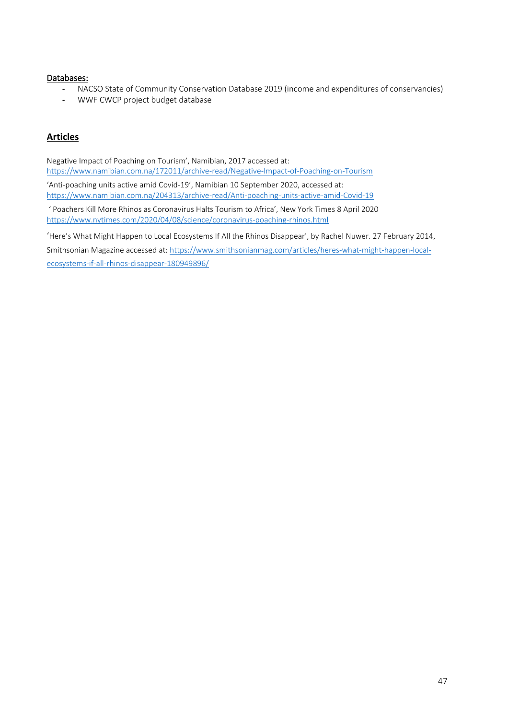#### Databases:

- NACSO State of Community Conservation Database 2019 (income and expenditures of conservancies)<br>- WWF CWCP project budget database
- WWF CWCP project budget database

#### **Articles**

Negative Impact of Poaching on Tourism', Namibian, 2017 accessed at: <https://www.namibian.com.na/172011/archive-read/Negative-Impact-of-Poaching-on-Tourism> 'Anti-poaching units active amid Covid-19', Namibian 10 September 2020, accessed at: <https://www.namibian.com.na/204313/archive-read/Anti-poaching-units-active-amid-Covid-19> ' Poachers Kill More Rhinos as Coronavirus Halts Tourism to Africa', New York Times 8 April 2020 <https://www.nytimes.com/2020/04/08/science/coronavirus-poaching-rhinos.html>

'Here's What Might Happen to Local Ecosystems If All the Rhinos Disappear', by Rachel Nuwer. 27 February 2014, Smithsonian Magazine accessed at: [https://www.smithsonianmag.com/articles/heres-what-might-happen-local](https://www.smithsonianmag.com/articles/heres-what-might-happen-local-ecosystems-if-all-rhinos-disappear-180949896/)[ecosystems-if-all-rhinos-disappear-180949896/](https://www.smithsonianmag.com/articles/heres-what-might-happen-local-ecosystems-if-all-rhinos-disappear-180949896/)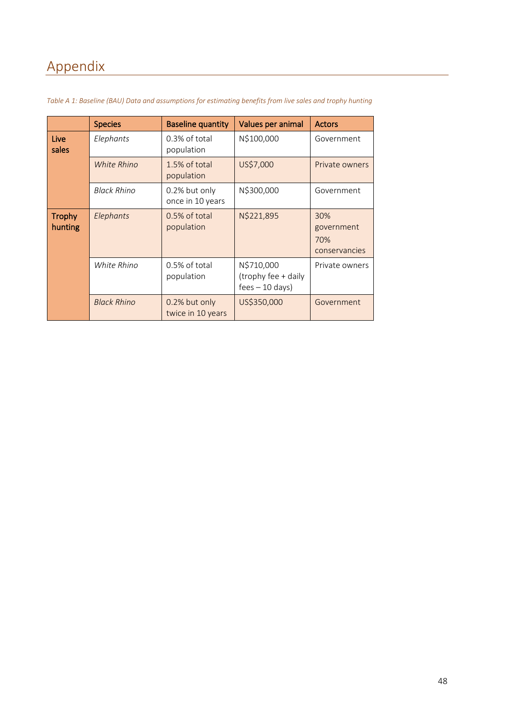# <span id="page-47-0"></span>Appendix

|                          | <b>Species</b>     | <b>Baseline quantity</b>           | Values per animal                                     | <b>Actors</b>                             |
|--------------------------|--------------------|------------------------------------|-------------------------------------------------------|-------------------------------------------|
| Live<br>sales            | Elephants          | 0.3% of total<br>population        | N\$100,000                                            | Government                                |
|                          | <b>White Rhino</b> | 1.5% of total<br>population        | US\$7,000                                             | Private owners                            |
|                          | <b>Black Rhino</b> | 0.2% but only<br>once in 10 years  | N\$300,000                                            | Government                                |
| <b>Trophy</b><br>hunting | Elephants          | 0.5% of total<br>population        | N\$221,895                                            | 30%<br>government<br>70%<br>conservancies |
|                          | White Rhino        | 0.5% of total<br>population        | N\$710,000<br>(trophy fee + daily<br>$fees - 10 days$ | Private owners                            |
|                          | <b>Black Rhino</b> | 0.2% but only<br>twice in 10 years | US\$350,000                                           | Government                                |

<span id="page-47-1"></span>*Table A 1: Baseline (BAU) Data and assumptions for estimating benefits from live sales and trophy hunting*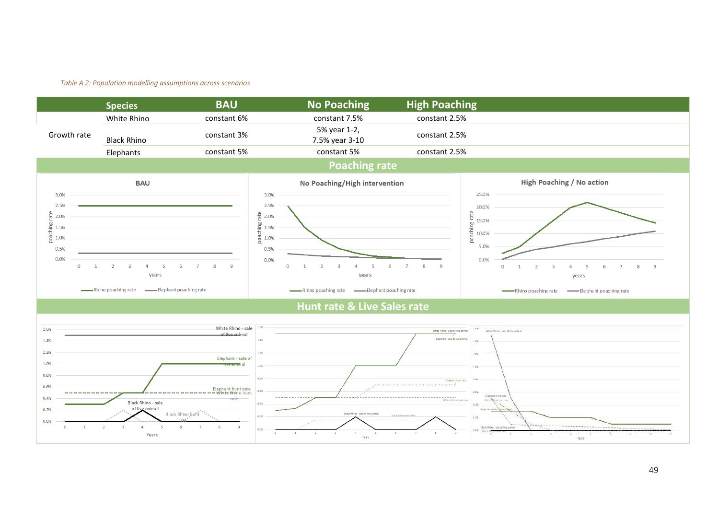#### *Table A 2: Population modelling assumptions across scenarios*

<span id="page-48-0"></span>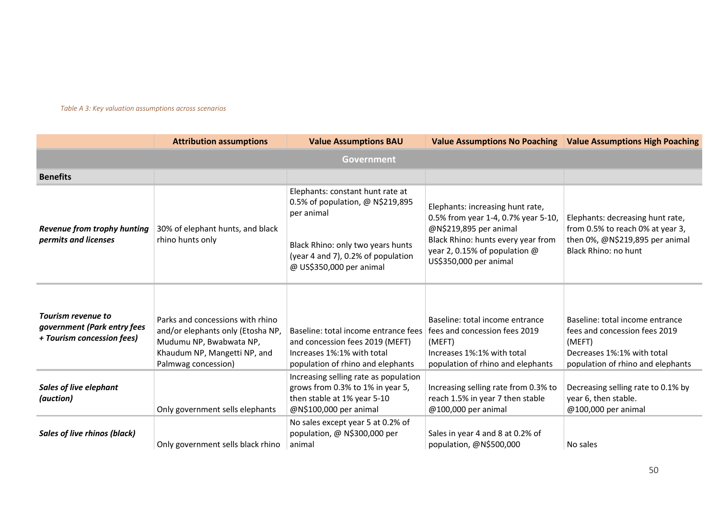#### *Table A 3: Key valuation assumptions across scenarios*

<span id="page-49-0"></span>

|                                                                                 | <b>Attribution assumptions</b>                                                                                                                          | <b>Value Assumptions BAU</b>                                                                                                                                                              |                                                                                                                                                                                                    | Value Assumptions No Poaching   Value Assumptions High Poaching                                                                               |  |  |  |
|---------------------------------------------------------------------------------|---------------------------------------------------------------------------------------------------------------------------------------------------------|-------------------------------------------------------------------------------------------------------------------------------------------------------------------------------------------|----------------------------------------------------------------------------------------------------------------------------------------------------------------------------------------------------|-----------------------------------------------------------------------------------------------------------------------------------------------|--|--|--|
| Government                                                                      |                                                                                                                                                         |                                                                                                                                                                                           |                                                                                                                                                                                                    |                                                                                                                                               |  |  |  |
| <b>Benefits</b>                                                                 |                                                                                                                                                         |                                                                                                                                                                                           |                                                                                                                                                                                                    |                                                                                                                                               |  |  |  |
| <b>Revenue from trophy hunting</b><br>permits and licenses                      | 30% of elephant hunts, and black<br>rhino hunts only                                                                                                    | Elephants: constant hunt rate at<br>0.5% of population, @ N\$219,895<br>per animal<br>Black Rhino: only two years hunts<br>(year 4 and 7), 0.2% of population<br>@ US\$350,000 per animal | Elephants: increasing hunt rate,<br>0.5% from year 1-4, 0.7% year 5-10,<br>@N\$219,895 per animal<br>Black Rhino: hunts every year from<br>year 2, 0.15% of population @<br>US\$350,000 per animal | Elephants: decreasing hunt rate,<br>from 0.5% to reach 0% at year 3,<br>then 0%, @N\$219,895 per animal<br>Black Rhino: no hunt               |  |  |  |
| Tourism revenue to<br>government (Park entry fees<br>+ Tourism concession fees) | Parks and concessions with rhino<br>and/or elephants only (Etosha NP,<br>Mudumu NP, Bwabwata NP,<br>Khaudum NP, Mangetti NP, and<br>Palmwag concession) | Baseline: total income entrance fees   fees and concession fees 2019<br>and concession fees 2019 (MEFT)<br>Increases 1%:1% with total<br>population of rhino and elephants                | Baseline: total income entrance<br>(MEFT)<br>Increases 1%:1% with total<br>population of rhino and elephants                                                                                       | Baseline: total income entrance<br>fees and concession fees 2019<br>(MEFT)<br>Decreases 1%:1% with total<br>population of rhino and elephants |  |  |  |
| <b>Sales of live elephant</b><br>(auction)                                      | Only government sells elephants                                                                                                                         | Increasing selling rate as population<br>grows from 0.3% to 1% in year 5,<br>then stable at 1% year 5-10<br>@N\$100,000 per animal                                                        | Increasing selling rate from 0.3% to<br>reach 1.5% in year 7 then stable<br>@100,000 per animal                                                                                                    | Decreasing selling rate to 0.1% by<br>year 6, then stable.<br>@100,000 per animal                                                             |  |  |  |
| <b>Sales of live rhinos (black)</b>                                             | Only government sells black rhino                                                                                                                       | No sales except year 5 at 0.2% of<br>population, @ N\$300,000 per<br>animal                                                                                                               | Sales in year 4 and 8 at 0.2% of<br>population, @N\$500,000                                                                                                                                        | No sales                                                                                                                                      |  |  |  |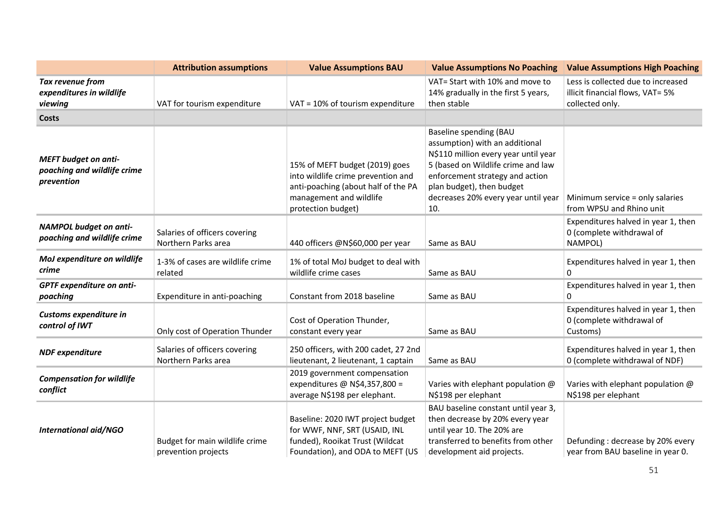|                                                                          | <b>Attribution assumptions</b>                        | <b>Value Assumptions BAU</b>                                                                                                                                 | <b>Value Assumptions No Poaching</b>                                                                                                                                                                                                                 | <b>Value Assumptions High Poaching</b>                                                    |
|--------------------------------------------------------------------------|-------------------------------------------------------|--------------------------------------------------------------------------------------------------------------------------------------------------------------|------------------------------------------------------------------------------------------------------------------------------------------------------------------------------------------------------------------------------------------------------|-------------------------------------------------------------------------------------------|
| Tax revenue from<br>expenditures in wildlife<br>viewing                  | VAT for tourism expenditure                           | VAT = 10% of tourism expenditure                                                                                                                             | VAT= Start with 10% and move to<br>14% gradually in the first 5 years,<br>then stable                                                                                                                                                                | Less is collected due to increased<br>illicit financial flows, VAT= 5%<br>collected only. |
| <b>Costs</b>                                                             |                                                       |                                                                                                                                                              |                                                                                                                                                                                                                                                      |                                                                                           |
| <b>MEFT</b> budget on anti-<br>poaching and wildlife crime<br>prevention |                                                       | 15% of MEFT budget (2019) goes<br>into wildlife crime prevention and<br>anti-poaching (about half of the PA<br>management and wildlife<br>protection budget) | Baseline spending (BAU<br>assumption) with an additional<br>N\$110 million every year until year<br>5 (based on Wildlife crime and law<br>enforcement strategy and action<br>plan budget), then budget<br>decreases 20% every year until year<br>10. | Minimum service = only salaries<br>from WPSU and Rhino unit                               |
| <b>NAMPOL budget on anti-</b><br>poaching and wildlife crime             | Salaries of officers covering<br>Northern Parks area  | 440 officers @N\$60,000 per year                                                                                                                             | Same as BAU                                                                                                                                                                                                                                          | Expenditures halved in year 1, then<br>0 (complete withdrawal of<br>NAMPOL)               |
| MoJ expenditure on wildlife<br>crime                                     | 1-3% of cases are wildlife crime<br>related           | 1% of total MoJ budget to deal with<br>wildlife crime cases                                                                                                  | Same as BAU                                                                                                                                                                                                                                          | Expenditures halved in year 1, then<br>0                                                  |
| GPTF expenditure on anti-<br>poaching                                    | Expenditure in anti-poaching                          | Constant from 2018 baseline                                                                                                                                  | Same as BAU                                                                                                                                                                                                                                          | Expenditures halved in year 1, then<br>$\Omega$                                           |
| Customs expenditure in<br>control of IWT                                 | Only cost of Operation Thunder                        | Cost of Operation Thunder,<br>constant every year                                                                                                            | Same as BAU                                                                                                                                                                                                                                          | Expenditures halved in year 1, then<br>0 (complete withdrawal of<br>Customs)              |
| <b>NDF</b> expenditure                                                   | Salaries of officers covering<br>Northern Parks area  | 250 officers, with 200 cadet, 27 2nd<br>lieutenant, 2 lieutenant, 1 captain                                                                                  | Same as BAU                                                                                                                                                                                                                                          | Expenditures halved in year 1, then<br>0 (complete withdrawal of NDF)                     |
| <b>Compensation for wildlife</b><br>conflict                             |                                                       | 2019 government compensation<br>expenditures @ N\$4,357,800 =<br>average N\$198 per elephant.                                                                | Varies with elephant population @<br>N\$198 per elephant                                                                                                                                                                                             | Varies with elephant population @<br>N\$198 per elephant                                  |
| <b>International aid/NGO</b>                                             | Budget for main wildlife crime<br>prevention projects | Baseline: 2020 IWT project budget<br>for WWF, NNF, SRT (USAID, INL<br>funded), Rooikat Trust (Wildcat<br>Foundation), and ODA to MEFT (US                    | BAU baseline constant until year 3,<br>then decrease by 20% every year<br>until year 10. The 20% are<br>transferred to benefits from other<br>development aid projects.                                                                              | Defunding: decrease by 20% every<br>year from BAU baseline in year 0.                     |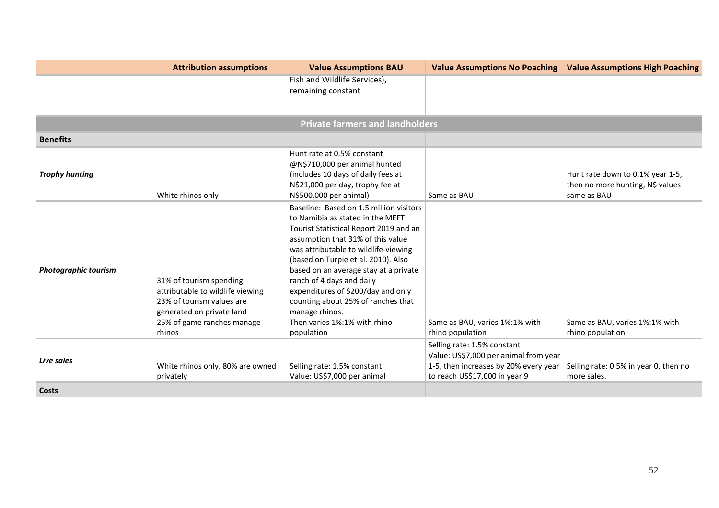|                             | <b>Attribution assumptions</b>                                                                                                                                | <b>Value Assumptions BAU</b>                                                                                                                                                                                                                                                                                                                                                                                                                                | <b>Value Assumptions No Poaching</b>                                                                                                           | <b>Value Assumptions High Poaching</b>                                              |
|-----------------------------|---------------------------------------------------------------------------------------------------------------------------------------------------------------|-------------------------------------------------------------------------------------------------------------------------------------------------------------------------------------------------------------------------------------------------------------------------------------------------------------------------------------------------------------------------------------------------------------------------------------------------------------|------------------------------------------------------------------------------------------------------------------------------------------------|-------------------------------------------------------------------------------------|
|                             |                                                                                                                                                               | Fish and Wildlife Services),<br>remaining constant                                                                                                                                                                                                                                                                                                                                                                                                          |                                                                                                                                                |                                                                                     |
|                             |                                                                                                                                                               | <b>Private farmers and landholders</b>                                                                                                                                                                                                                                                                                                                                                                                                                      |                                                                                                                                                |                                                                                     |
| <b>Benefits</b>             |                                                                                                                                                               |                                                                                                                                                                                                                                                                                                                                                                                                                                                             |                                                                                                                                                |                                                                                     |
| <b>Trophy hunting</b>       | White rhinos only                                                                                                                                             | Hunt rate at 0.5% constant<br>@N\$710,000 per animal hunted<br>(includes 10 days of daily fees at<br>N\$21,000 per day, trophy fee at<br>N\$500,000 per animal)                                                                                                                                                                                                                                                                                             | Same as BAU                                                                                                                                    | Hunt rate down to 0.1% year 1-5,<br>then no more hunting, N\$ values<br>same as BAU |
| <b>Photographic tourism</b> | 31% of tourism spending<br>attributable to wildlife viewing<br>23% of tourism values are<br>generated on private land<br>25% of game ranches manage<br>rhinos | Baseline: Based on 1.5 million visitors<br>to Namibia as stated in the MEFT<br>Tourist Statistical Report 2019 and an<br>assumption that 31% of this value<br>was attributable to wildlife-viewing<br>(based on Turpie et al. 2010). Also<br>based on an average stay at a private<br>ranch of 4 days and daily<br>expenditures of \$200/day and only<br>counting about 25% of ranches that<br>manage rhinos.<br>Then varies 1%:1% with rhino<br>population | Same as BAU, varies 1%:1% with<br>rhino population                                                                                             | Same as BAU, varies 1%:1% with<br>rhino population                                  |
| Live sales                  | White rhinos only, 80% are owned<br>privately                                                                                                                 | Selling rate: 1.5% constant<br>Value: US\$7,000 per animal                                                                                                                                                                                                                                                                                                                                                                                                  | Selling rate: 1.5% constant<br>Value: US\$7,000 per animal from year<br>1-5, then increases by 20% every year<br>to reach US\$17,000 in year 9 | Selling rate: 0.5% in year 0, then no<br>more sales.                                |
| Costs                       |                                                                                                                                                               |                                                                                                                                                                                                                                                                                                                                                                                                                                                             |                                                                                                                                                |                                                                                     |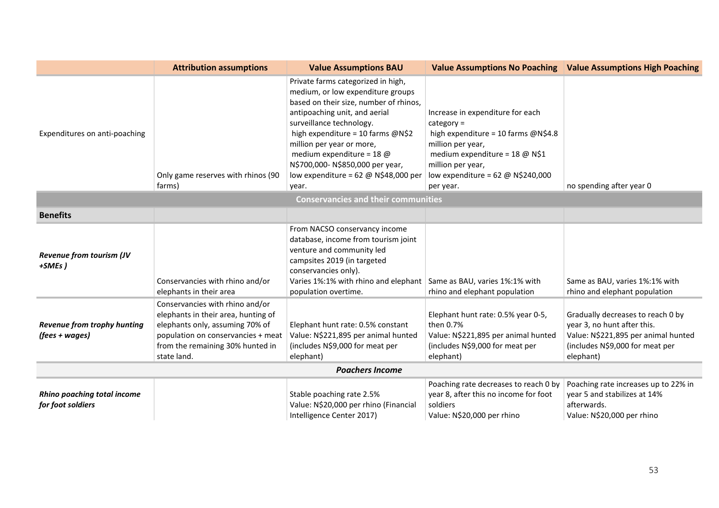|                                                         | <b>Attribution assumptions</b>                                                                                                                                                                     | <b>Value Assumptions BAU</b>                                                                                                                                                                                                                                                                                                                                                                 | <b>Value Assumptions No Poaching</b>                                                                                                                                                                                                           | <b>Value Assumptions High Poaching</b>                                                                                                                  |
|---------------------------------------------------------|----------------------------------------------------------------------------------------------------------------------------------------------------------------------------------------------------|----------------------------------------------------------------------------------------------------------------------------------------------------------------------------------------------------------------------------------------------------------------------------------------------------------------------------------------------------------------------------------------------|------------------------------------------------------------------------------------------------------------------------------------------------------------------------------------------------------------------------------------------------|---------------------------------------------------------------------------------------------------------------------------------------------------------|
| Expenditures on anti-poaching                           | Only game reserves with rhinos (90<br>farms)                                                                                                                                                       | Private farms categorized in high,<br>medium, or low expenditure groups<br>based on their size, number of rhinos,<br>antipoaching unit, and aerial<br>surveillance technology.<br>high expenditure = 10 farms @N\$2<br>million per year or more,<br>medium expenditure = $18$ @<br>N\$700,000-N\$850,000 per year,<br>low expenditure = $62 \text{ } \textcircled{a}$ N\$48,000 per<br>year. | Increase in expenditure for each<br>$category =$<br>high expenditure = 10 farms @N\$4.8<br>million per year,<br>medium expenditure = 18 @ N\$1<br>million per year,<br>low expenditure = $62 \text{ } \textcircled{ }$ N\$240,000<br>per year. | no spending after year 0                                                                                                                                |
| <b>Conservancies and their communities</b>              |                                                                                                                                                                                                    |                                                                                                                                                                                                                                                                                                                                                                                              |                                                                                                                                                                                                                                                |                                                                                                                                                         |
| <b>Benefits</b>                                         |                                                                                                                                                                                                    |                                                                                                                                                                                                                                                                                                                                                                                              |                                                                                                                                                                                                                                                |                                                                                                                                                         |
| <b>Revenue from tourism (JV</b><br>+SMEs)               | Conservancies with rhino and/or<br>elephants in their area                                                                                                                                         | From NACSO conservancy income<br>database, income from tourism joint<br>venture and community led<br>campsites 2019 (in targeted<br>conservancies only).<br>Varies 1%:1% with rhino and elephant<br>population overtime.                                                                                                                                                                     | Same as BAU, varies 1%:1% with<br>rhino and elephant population                                                                                                                                                                                | Same as BAU, varies 1%:1% with<br>rhino and elephant population                                                                                         |
| Revenue from trophy hunting<br>(fees + wages)           | Conservancies with rhino and/or<br>elephants in their area, hunting of<br>elephants only, assuming 70% of<br>population on conservancies + meat<br>from the remaining 30% hunted in<br>state land. | Elephant hunt rate: 0.5% constant<br>Value: N\$221,895 per animal hunted<br>(includes N\$9,000 for meat per<br>elephant)                                                                                                                                                                                                                                                                     | Elephant hunt rate: 0.5% year 0-5,<br>then 0.7%<br>Value: N\$221,895 per animal hunted<br>(includes N\$9,000 for meat per<br>elephant)                                                                                                         | Gradually decreases to reach 0 by<br>year 3, no hunt after this.<br>Value: N\$221,895 per animal hunted<br>(includes N\$9,000 for meat per<br>elephant) |
| <b>Poachers Income</b>                                  |                                                                                                                                                                                                    |                                                                                                                                                                                                                                                                                                                                                                                              |                                                                                                                                                                                                                                                |                                                                                                                                                         |
| <b>Rhino poaching total income</b><br>for foot soldiers |                                                                                                                                                                                                    | Stable poaching rate 2.5%<br>Value: N\$20,000 per rhino (Financial<br>Intelligence Center 2017)                                                                                                                                                                                                                                                                                              | Poaching rate decreases to reach 0 by<br>year 8, after this no income for foot<br>soldiers<br>Value: N\$20,000 per rhino                                                                                                                       | Poaching rate increases up to 22% in<br>year 5 and stabilizes at 14%<br>afterwards.<br>Value: N\$20,000 per rhino                                       |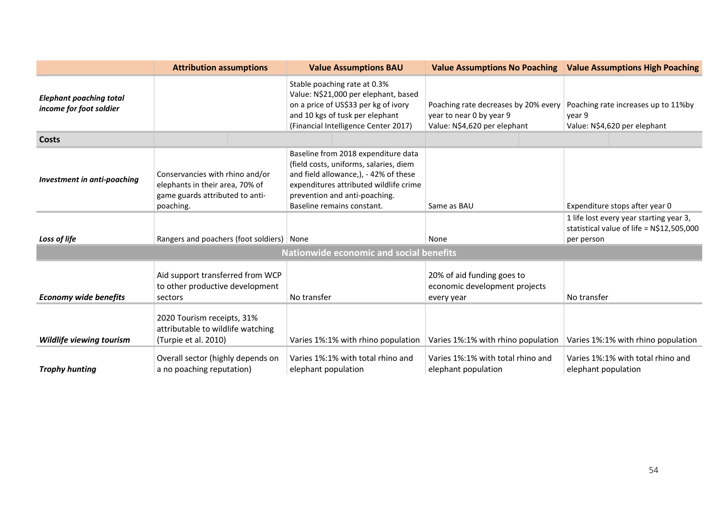|                                                           | <b>Attribution assumptions</b>                                                                                     | <b>Value Assumptions BAU</b>                                                                                                                                                                                                    | <b>Value Assumptions No Poaching</b>                                                             | <b>Value Assumptions High Poaching</b>                                                              |
|-----------------------------------------------------------|--------------------------------------------------------------------------------------------------------------------|---------------------------------------------------------------------------------------------------------------------------------------------------------------------------------------------------------------------------------|--------------------------------------------------------------------------------------------------|-----------------------------------------------------------------------------------------------------|
| <b>Elephant poaching total</b><br>income for foot soldier |                                                                                                                    | Stable poaching rate at 0.3%<br>Value: N\$21,000 per elephant, based<br>on a price of US\$33 per kg of ivory<br>and 10 kgs of tusk per elephant<br>(Financial Intelligence Center 2017)                                         | Poaching rate decreases by 20% every<br>year to near 0 by year 9<br>Value: N\$4,620 per elephant | Poaching rate increases up to 11%by<br>year 9<br>Value: N\$4,620 per elephant                       |
| Costs                                                     |                                                                                                                    |                                                                                                                                                                                                                                 |                                                                                                  |                                                                                                     |
| Investment in anti-poaching                               | Conservancies with rhino and/or<br>elephants in their area, 70% of<br>game guards attributed to anti-<br>poaching. | Baseline from 2018 expenditure data<br>(field costs, uniforms, salaries, diem<br>and field allowance,), - 42% of these<br>expenditures attributed wildlife crime<br>prevention and anti-poaching.<br>Baseline remains constant. | Same as BAU                                                                                      | Expenditure stops after year 0                                                                      |
| Loss of life                                              | Rangers and poachers (foot soldiers)   None                                                                        |                                                                                                                                                                                                                                 | None                                                                                             | 1 life lost every year starting year 3,<br>statistical value of life = $N$12,505,000$<br>per person |
| <b>Nationwide economic and social benefits</b>            |                                                                                                                    |                                                                                                                                                                                                                                 |                                                                                                  |                                                                                                     |
| <b>Economy wide benefits</b>                              | Aid support transferred from WCP<br>to other productive development<br>sectors                                     | No transfer                                                                                                                                                                                                                     | 20% of aid funding goes to<br>economic development projects<br>every year                        | No transfer                                                                                         |
| <b>Wildlife viewing tourism</b>                           | 2020 Tourism receipts, 31%<br>attributable to wildlife watching<br>(Turpie et al. 2010)                            | Varies 1%:1% with rhino population                                                                                                                                                                                              | Varies 1%:1% with rhino population                                                               | Varies 1%:1% with rhino population                                                                  |
| <b>Trophy hunting</b>                                     | Overall sector (highly depends on<br>a no poaching reputation)                                                     | Varies 1%:1% with total rhino and<br>elephant population                                                                                                                                                                        | Varies 1%:1% with total rhino and<br>elephant population                                         | Varies 1%:1% with total rhino and<br>elephant population                                            |